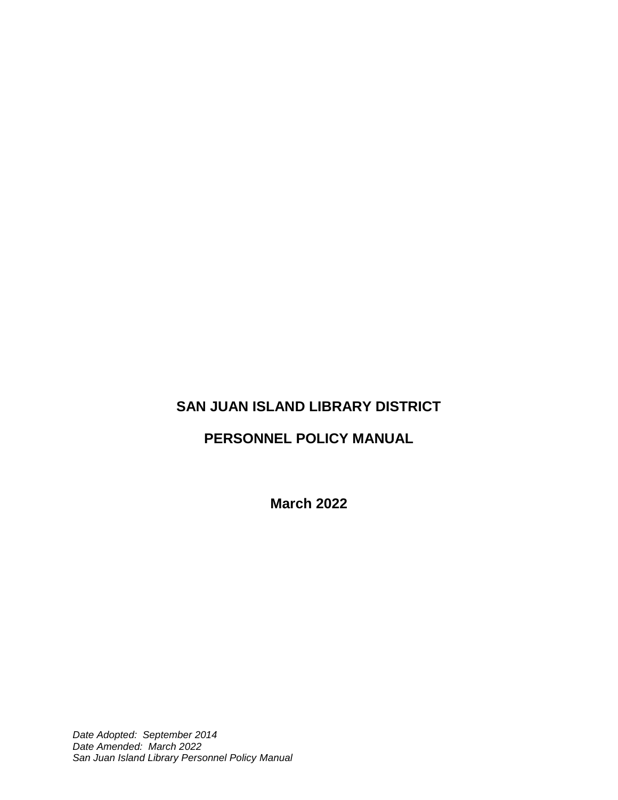# **SAN JUAN ISLAND LIBRARY DISTRICT**

# **PERSONNEL POLICY MANUAL**

**March 2022**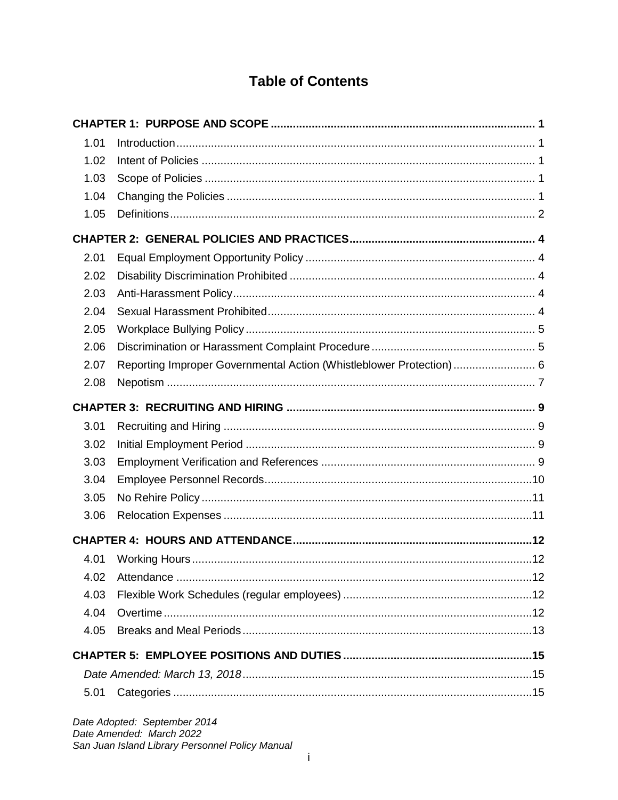# **Table of Contents**

| 1.01 |                                                                     |  |  |  |
|------|---------------------------------------------------------------------|--|--|--|
| 1.02 |                                                                     |  |  |  |
| 1.03 |                                                                     |  |  |  |
| 1.04 |                                                                     |  |  |  |
| 1.05 |                                                                     |  |  |  |
|      |                                                                     |  |  |  |
| 2.01 |                                                                     |  |  |  |
| 2.02 |                                                                     |  |  |  |
| 2.03 |                                                                     |  |  |  |
| 2.04 |                                                                     |  |  |  |
| 2.05 |                                                                     |  |  |  |
| 2.06 |                                                                     |  |  |  |
| 2.07 | Reporting Improper Governmental Action (Whistleblower Protection) 6 |  |  |  |
| 2.08 |                                                                     |  |  |  |
|      |                                                                     |  |  |  |
| 3.01 |                                                                     |  |  |  |
| 3.02 |                                                                     |  |  |  |
| 3.03 |                                                                     |  |  |  |
| 3.04 |                                                                     |  |  |  |
| 3.05 |                                                                     |  |  |  |
| 3.06 |                                                                     |  |  |  |
|      |                                                                     |  |  |  |
| 4.01 |                                                                     |  |  |  |
| 4.02 |                                                                     |  |  |  |
| 4.03 |                                                                     |  |  |  |
| 4.04 |                                                                     |  |  |  |
| 4.05 |                                                                     |  |  |  |
|      |                                                                     |  |  |  |
|      |                                                                     |  |  |  |
| 5.01 |                                                                     |  |  |  |
|      |                                                                     |  |  |  |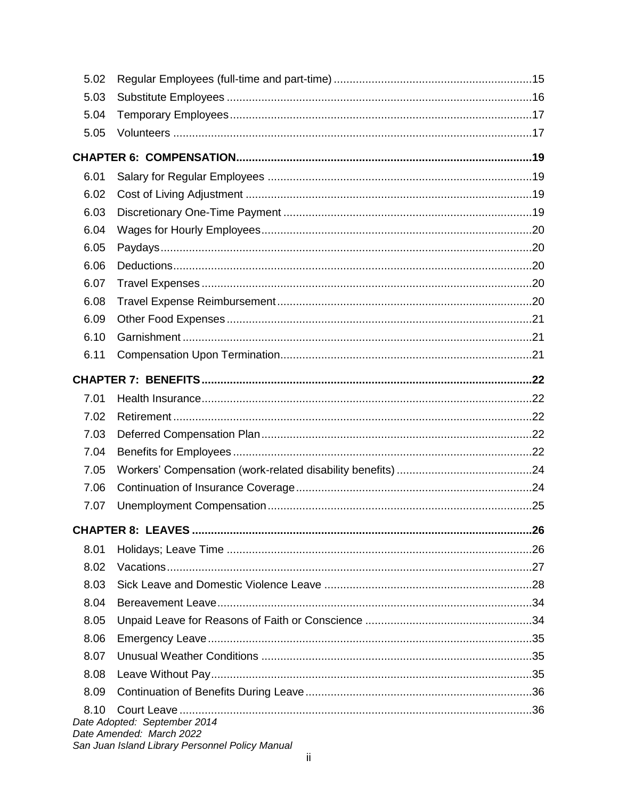| 5.02 |                                                                                                             |  |  |  |  |
|------|-------------------------------------------------------------------------------------------------------------|--|--|--|--|
| 5.03 |                                                                                                             |  |  |  |  |
| 5.04 |                                                                                                             |  |  |  |  |
| 5.05 |                                                                                                             |  |  |  |  |
|      |                                                                                                             |  |  |  |  |
| 6.01 |                                                                                                             |  |  |  |  |
| 6.02 |                                                                                                             |  |  |  |  |
| 6.03 |                                                                                                             |  |  |  |  |
| 6.04 |                                                                                                             |  |  |  |  |
| 6.05 |                                                                                                             |  |  |  |  |
| 6.06 |                                                                                                             |  |  |  |  |
| 6.07 |                                                                                                             |  |  |  |  |
| 6.08 |                                                                                                             |  |  |  |  |
| 6.09 |                                                                                                             |  |  |  |  |
| 6.10 |                                                                                                             |  |  |  |  |
| 6.11 |                                                                                                             |  |  |  |  |
|      |                                                                                                             |  |  |  |  |
| 7.01 |                                                                                                             |  |  |  |  |
| 7.02 |                                                                                                             |  |  |  |  |
| 7.03 |                                                                                                             |  |  |  |  |
| 7.04 |                                                                                                             |  |  |  |  |
| 7.05 |                                                                                                             |  |  |  |  |
| 7.06 |                                                                                                             |  |  |  |  |
| 7.07 |                                                                                                             |  |  |  |  |
|      |                                                                                                             |  |  |  |  |
| 8.01 |                                                                                                             |  |  |  |  |
| 8.02 |                                                                                                             |  |  |  |  |
| 8.03 |                                                                                                             |  |  |  |  |
| 8.04 |                                                                                                             |  |  |  |  |
| 8.05 |                                                                                                             |  |  |  |  |
| 8.06 |                                                                                                             |  |  |  |  |
| 8.07 |                                                                                                             |  |  |  |  |
| 8.08 |                                                                                                             |  |  |  |  |
| 8.09 |                                                                                                             |  |  |  |  |
| 8.10 | Date Adopted: September 2014<br>Date Amended: March 2022<br>San Juan Island Library Personnel Policy Manual |  |  |  |  |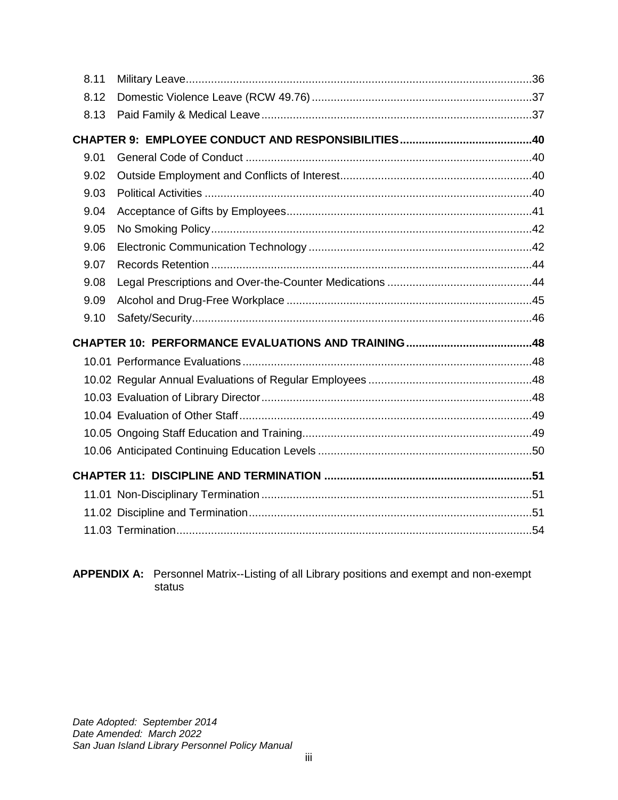| 8.11 |  |
|------|--|
| 8.12 |  |
| 8.13 |  |
|      |  |
| 9.01 |  |
| 9.02 |  |
| 9.03 |  |
| 9.04 |  |
| 9.05 |  |
| 9.06 |  |
| 9.07 |  |
| 9.08 |  |
| 9.09 |  |
|      |  |
| 9.10 |  |
|      |  |
|      |  |
|      |  |
|      |  |
|      |  |
|      |  |
|      |  |
|      |  |
|      |  |
|      |  |

**APPENDIX A:** Personnel Matrix--Listing of all Library positions and exempt and non-exempt status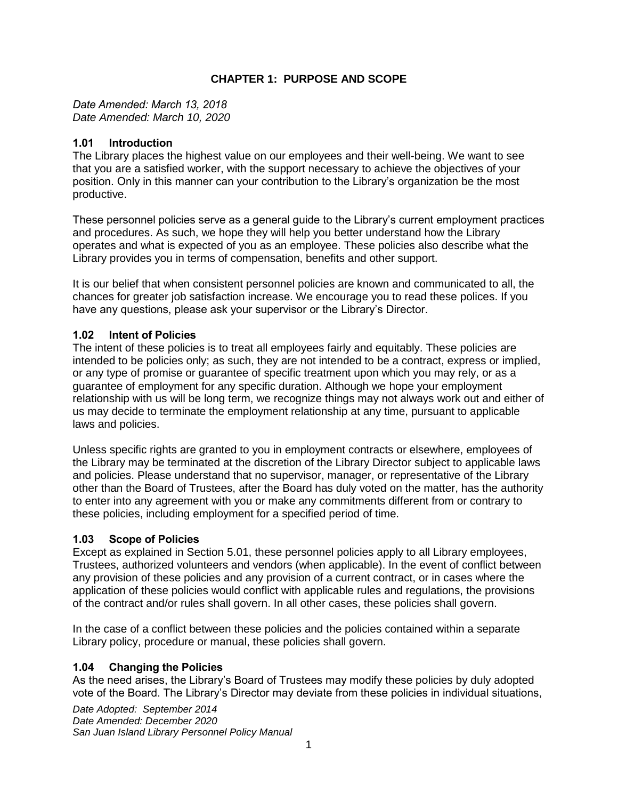# **CHAPTER 1: PURPOSE AND SCOPE**

<span id="page-4-0"></span>*Date Amended: March 13, 2018 Date Amended: March 10, 2020*

#### <span id="page-4-1"></span>**1.01 Introduction**

The Library places the highest value on our employees and their well-being. We want to see that you are a satisfied worker, with the support necessary to achieve the objectives of your position. Only in this manner can your contribution to the Library's organization be the most productive.

These personnel policies serve as a general guide to the Library's current employment practices and procedures. As such, we hope they will help you better understand how the Library operates and what is expected of you as an employee. These policies also describe what the Library provides you in terms of compensation, benefits and other support.

It is our belief that when consistent personnel policies are known and communicated to all, the chances for greater job satisfaction increase. We encourage you to read these polices. If you have any questions, please ask your supervisor or the Library's Director.

# <span id="page-4-2"></span>**1.02 Intent of Policies**

The intent of these policies is to treat all employees fairly and equitably. These policies are intended to be policies only; as such, they are not intended to be a contract, express or implied, or any type of promise or guarantee of specific treatment upon which you may rely, or as a guarantee of employment for any specific duration. Although we hope your employment relationship with us will be long term, we recognize things may not always work out and either of us may decide to terminate the employment relationship at any time, pursuant to applicable laws and policies.

Unless specific rights are granted to you in employment contracts or elsewhere, employees of the Library may be terminated at the discretion of the Library Director subject to applicable laws and policies. Please understand that no supervisor, manager, or representative of the Library other than the Board of Trustees, after the Board has duly voted on the matter, has the authority to enter into any agreement with you or make any commitments different from or contrary to these policies, including employment for a specified period of time.

# <span id="page-4-3"></span>**1.03 Scope of Policies**

Except as explained in Section 5.01, these personnel policies apply to all Library employees, Trustees, authorized volunteers and vendors (when applicable). In the event of conflict between any provision of these policies and any provision of a current contract, or in cases where the application of these policies would conflict with applicable rules and regulations, the provisions of the contract and/or rules shall govern. In all other cases, these policies shall govern.

In the case of a conflict between these policies and the policies contained within a separate Library policy, procedure or manual, these policies shall govern.

# <span id="page-4-4"></span>**1.04 Changing the Policies**

As the need arises, the Library's Board of Trustees may modify these policies by duly adopted vote of the Board. The Library's Director may deviate from these policies in individual situations,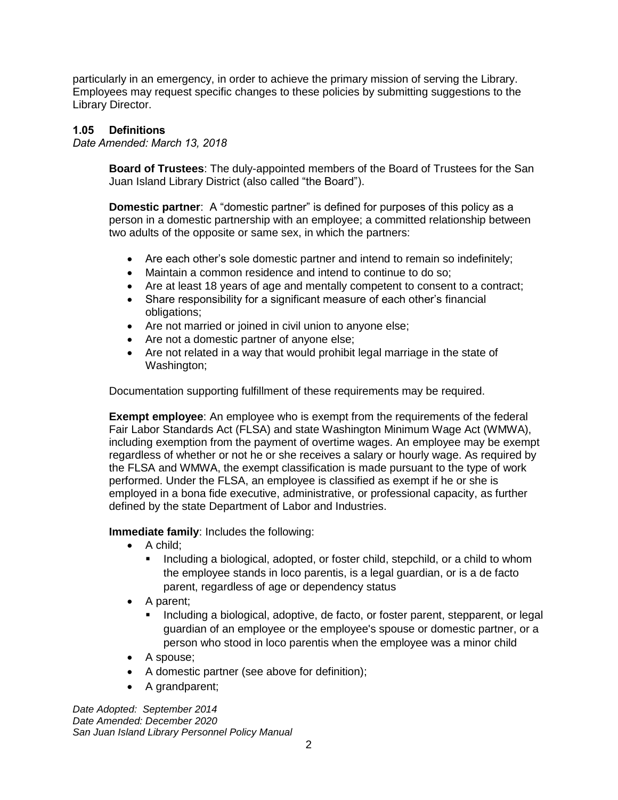particularly in an emergency, in order to achieve the primary mission of serving the Library. Employees may request specific changes to these policies by submitting suggestions to the Library Director.

### <span id="page-5-0"></span>**1.05 Definitions**

*Date Amended: March 13, 2018*

**Board of Trustees**: The duly-appointed members of the Board of Trustees for the San Juan Island Library District (also called "the Board").

**Domestic partner**: A "domestic partner" is defined for purposes of this policy as a person in a domestic partnership with an employee; a committed relationship between two adults of the opposite or same sex, in which the partners:

- Are each other's sole domestic partner and intend to remain so indefinitely;
- Maintain a common residence and intend to continue to do so;
- Are at least 18 years of age and mentally competent to consent to a contract;
- Share responsibility for a significant measure of each other's financial obligations;
- Are not married or joined in civil union to anyone else;
- Are not a domestic partner of anyone else;
- Are not related in a way that would prohibit legal marriage in the state of Washington;

Documentation supporting fulfillment of these requirements may be required.

**Exempt employee**: An employee who is exempt from the requirements of the federal Fair Labor Standards Act (FLSA) and state Washington Minimum Wage Act (WMWA), including exemption from the payment of overtime wages. An employee may be exempt regardless of whether or not he or she receives a salary or hourly wage. As required by the FLSA and WMWA, the exempt classification is made pursuant to the type of work performed. Under the FLSA, an employee is classified as exempt if he or she is employed in a bona fide executive, administrative, or professional capacity, as further defined by the state Department of Labor and Industries.

**Immediate family**: Includes the following:

- A child;
	- Including a biological, adopted, or foster child, stepchild, or a child to whom the employee stands in loco parentis, is a legal guardian, or is a de facto parent, regardless of age or dependency status
- A parent;
	- Including a biological, adoptive, de facto, or foster parent, stepparent, or legal guardian of an employee or the employee's spouse or domestic partner, or a person who stood in loco parentis when the employee was a minor child
- A spouse;
- A domestic partner (see above for definition);
- A grandparent;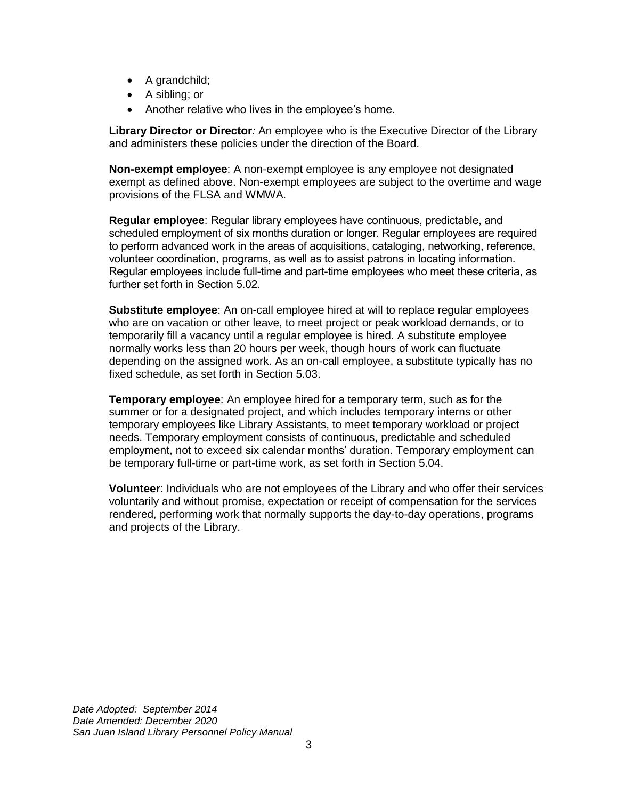- A grandchild;
- A sibling; or
- Another relative who lives in the employee's home.

**Library Director or Director***:* An employee who is the Executive Director of the Library and administers these policies under the direction of the Board.

**Non-exempt employee**: A non-exempt employee is any employee not designated exempt as defined above. Non-exempt employees are subject to the overtime and wage provisions of the FLSA and WMWA.

**Regular employee**: Regular library employees have continuous, predictable, and scheduled employment of six months duration or longer. Regular employees are required to perform advanced work in the areas of acquisitions, cataloging, networking, reference, volunteer coordination, programs, as well as to assist patrons in locating information. Regular employees include full-time and part-time employees who meet these criteria, as further set forth in Section 5.02.

**Substitute employee**: An on-call employee hired at will to replace regular employees who are on vacation or other leave, to meet project or peak workload demands, or to temporarily fill a vacancy until a regular employee is hired. A substitute employee normally works less than 20 hours per week, though hours of work can fluctuate depending on the assigned work. As an on-call employee, a substitute typically has no fixed schedule, as set forth in Section 5.03.

**Temporary employee**: An employee hired for a temporary term, such as for the summer or for a designated project, and which includes temporary interns or other temporary employees like Library Assistants, to meet temporary workload or project needs. Temporary employment consists of continuous, predictable and scheduled employment, not to exceed six calendar months' duration. Temporary employment can be temporary full-time or part-time work, as set forth in Section 5.04.

**Volunteer**: Individuals who are not employees of the Library and who offer their services voluntarily and without promise, expectation or receipt of compensation for the services rendered, performing work that normally supports the day-to-day operations, programs and projects of the Library.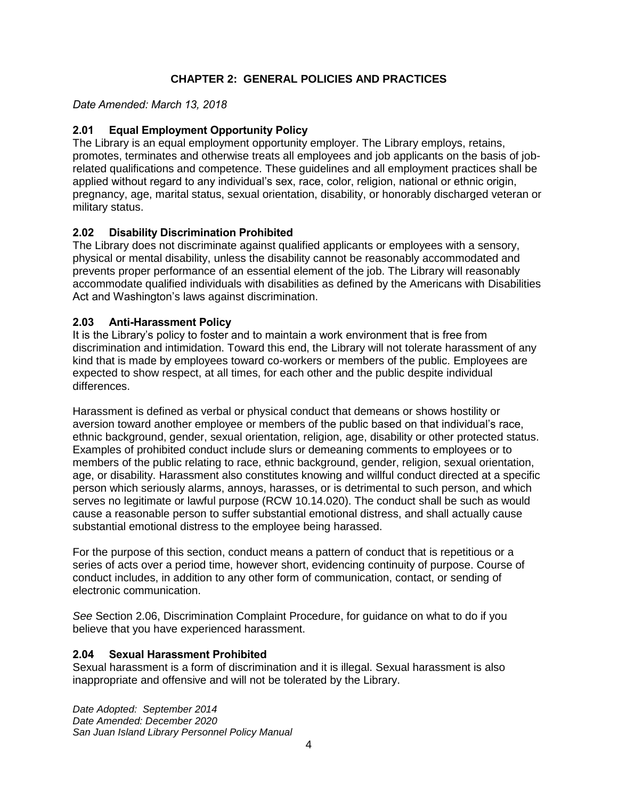# **CHAPTER 2: GENERAL POLICIES AND PRACTICES**

#### <span id="page-7-0"></span>*Date Amended: March 13, 2018*

### <span id="page-7-1"></span>**2.01 Equal Employment Opportunity Policy**

The Library is an equal employment opportunity employer. The Library employs, retains, promotes, terminates and otherwise treats all employees and job applicants on the basis of jobrelated qualifications and competence. These guidelines and all employment practices shall be applied without regard to any individual's sex, race, color, religion, national or ethnic origin, pregnancy, age, marital status, sexual orientation, disability, or honorably discharged veteran or military status.

#### <span id="page-7-2"></span>**2.02 Disability Discrimination Prohibited**

The Library does not discriminate against qualified applicants or employees with a sensory, physical or mental disability, unless the disability cannot be reasonably accommodated and prevents proper performance of an essential element of the job. The Library will reasonably accommodate qualified individuals with disabilities as defined by the Americans with Disabilities Act and Washington's laws against discrimination.

#### <span id="page-7-3"></span>**2.03 Anti-Harassment Policy**

It is the Library's policy to foster and to maintain a work environment that is free from discrimination and intimidation. Toward this end, the Library will not tolerate harassment of any kind that is made by employees toward co-workers or members of the public. Employees are expected to show respect, at all times, for each other and the public despite individual differences.

Harassment is defined as verbal or physical conduct that demeans or shows hostility or aversion toward another employee or members of the public based on that individual's race, ethnic background, gender, sexual orientation, religion, age, disability or other protected status. Examples of prohibited conduct include slurs or demeaning comments to employees or to members of the public relating to race, ethnic background, gender, religion, sexual orientation, age, or disability. Harassment also constitutes knowing and willful conduct directed at a specific person which seriously alarms, annoys, harasses, or is detrimental to such person, and which serves no legitimate or lawful purpose (RCW 10.14.020). The conduct shall be such as would cause a reasonable person to suffer substantial emotional distress, and shall actually cause substantial emotional distress to the employee being harassed.

For the purpose of this section, conduct means a pattern of conduct that is repetitious or a series of acts over a period time, however short, evidencing continuity of purpose. Course of conduct includes, in addition to any other form of communication, contact, or sending of electronic communication.

*See* Section 2.06, Discrimination Complaint Procedure, for guidance on what to do if you believe that you have experienced harassment.

#### <span id="page-7-4"></span>**2.04 Sexual Harassment Prohibited**

Sexual harassment is a form of discrimination and it is illegal. Sexual harassment is also inappropriate and offensive and will not be tolerated by the Library.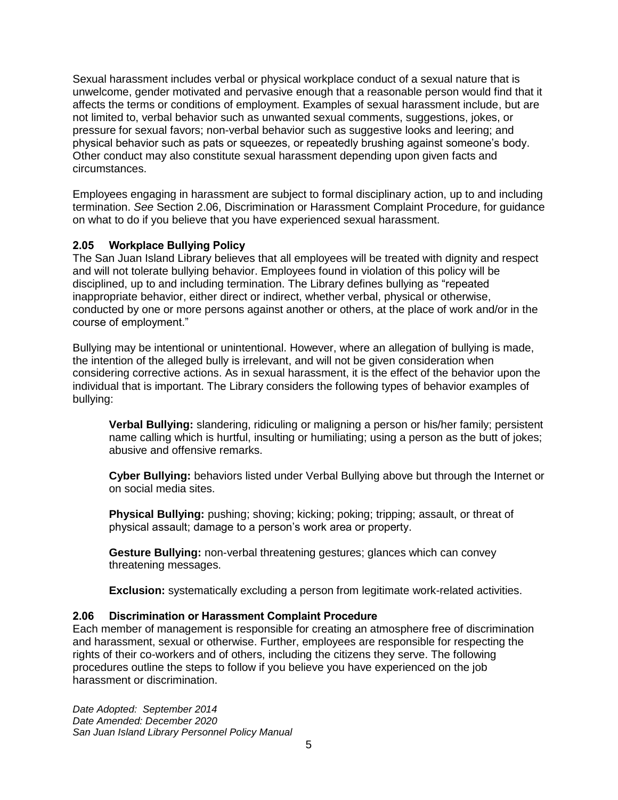Sexual harassment includes verbal or physical workplace conduct of a sexual nature that is unwelcome, gender motivated and pervasive enough that a reasonable person would find that it affects the terms or conditions of employment. Examples of sexual harassment include, but are not limited to, verbal behavior such as unwanted sexual comments, suggestions, jokes, or pressure for sexual favors; non-verbal behavior such as suggestive looks and leering; and physical behavior such as pats or squeezes, or repeatedly brushing against someone's body. Other conduct may also constitute sexual harassment depending upon given facts and circumstances.

Employees engaging in harassment are subject to formal disciplinary action, up to and including termination. *See* Section 2.06, Discrimination or Harassment Complaint Procedure, for guidance on what to do if you believe that you have experienced sexual harassment.

# <span id="page-8-0"></span>**2.05 Workplace Bullying Policy**

The San Juan Island Library believes that all employees will be treated with dignity and respect and will not tolerate bullying behavior. Employees found in violation of this policy will be disciplined, up to and including termination. The Library defines bullying as "repeated inappropriate behavior, either direct or indirect, whether verbal, physical or otherwise, conducted by one or more persons against another or others, at the place of work and/or in the course of employment."

Bullying may be intentional or unintentional. However, where an allegation of bullying is made, the intention of the alleged bully is irrelevant, and will not be given consideration when considering corrective actions. As in sexual harassment, it is the effect of the behavior upon the individual that is important. The Library considers the following types of behavior examples of bullying:

**Verbal Bullying:** slandering, ridiculing or maligning a person or his/her family; persistent name calling which is hurtful, insulting or humiliating; using a person as the butt of jokes; abusive and offensive remarks.

**Cyber Bullying:** behaviors listed under Verbal Bullying above but through the Internet or on social media sites.

**Physical Bullying:** pushing; shoving; kicking; poking; tripping; assault, or threat of physical assault; damage to a person's work area or property.

**Gesture Bullying:** non-verbal threatening gestures; glances which can convey threatening messages.

**Exclusion:** systematically excluding a person from legitimate work-related activities.

#### <span id="page-8-1"></span>**2.06 Discrimination or Harassment Complaint Procedure**

Each member of management is responsible for creating an atmosphere free of discrimination and harassment, sexual or otherwise. Further, employees are responsible for respecting the rights of their co-workers and of others, including the citizens they serve. The following procedures outline the steps to follow if you believe you have experienced on the job harassment or discrimination.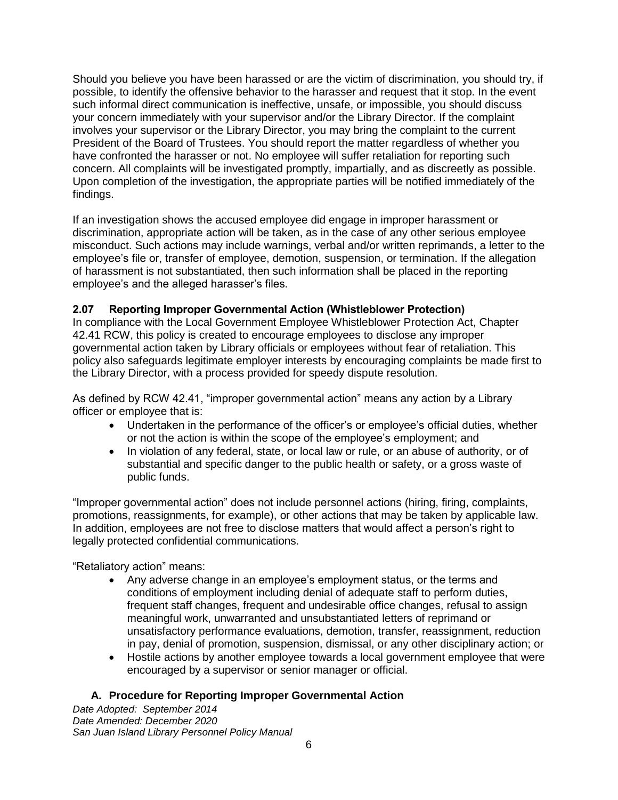Should you believe you have been harassed or are the victim of discrimination, you should try, if possible, to identify the offensive behavior to the harasser and request that it stop. In the event such informal direct communication is ineffective, unsafe, or impossible, you should discuss your concern immediately with your supervisor and/or the Library Director. If the complaint involves your supervisor or the Library Director, you may bring the complaint to the current President of the Board of Trustees. You should report the matter regardless of whether you have confronted the harasser or not. No employee will suffer retaliation for reporting such concern. All complaints will be investigated promptly, impartially, and as discreetly as possible. Upon completion of the investigation, the appropriate parties will be notified immediately of the findings.

If an investigation shows the accused employee did engage in improper harassment or discrimination, appropriate action will be taken, as in the case of any other serious employee misconduct. Such actions may include warnings, verbal and/or written reprimands, a letter to the employee's file or, transfer of employee, demotion, suspension, or termination. If the allegation of harassment is not substantiated, then such information shall be placed in the reporting employee's and the alleged harasser's files.

# <span id="page-9-0"></span>**2.07 Reporting Improper Governmental Action (Whistleblower Protection)**

In compliance with the Local Government Employee Whistleblower Protection Act, Chapter 42.41 RCW, this policy is created to encourage employees to disclose any improper governmental action taken by Library officials or employees without fear of retaliation. This policy also safeguards legitimate employer interests by encouraging complaints be made first to the Library Director, with a process provided for speedy dispute resolution.

As defined by RCW 42.41, "improper governmental action" means any action by a Library officer or employee that is:

- Undertaken in the performance of the officer's or employee's official duties, whether or not the action is within the scope of the employee's employment; and
- In violation of any federal, state, or local law or rule, or an abuse of authority, or of substantial and specific danger to the public health or safety, or a gross waste of public funds.

"Improper governmental action" does not include personnel actions (hiring, firing, complaints, promotions, reassignments, for example), or other actions that may be taken by applicable law. In addition, employees are not free to disclose matters that would affect a person's right to legally protected confidential communications.

"Retaliatory action" means:

- Any adverse change in an employee's employment status, or the terms and conditions of employment including denial of adequate staff to perform duties, frequent staff changes, frequent and undesirable office changes, refusal to assign meaningful work, unwarranted and unsubstantiated letters of reprimand or unsatisfactory performance evaluations, demotion, transfer, reassignment, reduction in pay, denial of promotion, suspension, dismissal, or any other disciplinary action; or
- Hostile actions by another employee towards a local government employee that were encouraged by a supervisor or senior manager or official.

# **A. Procedure for Reporting Improper Governmental Action**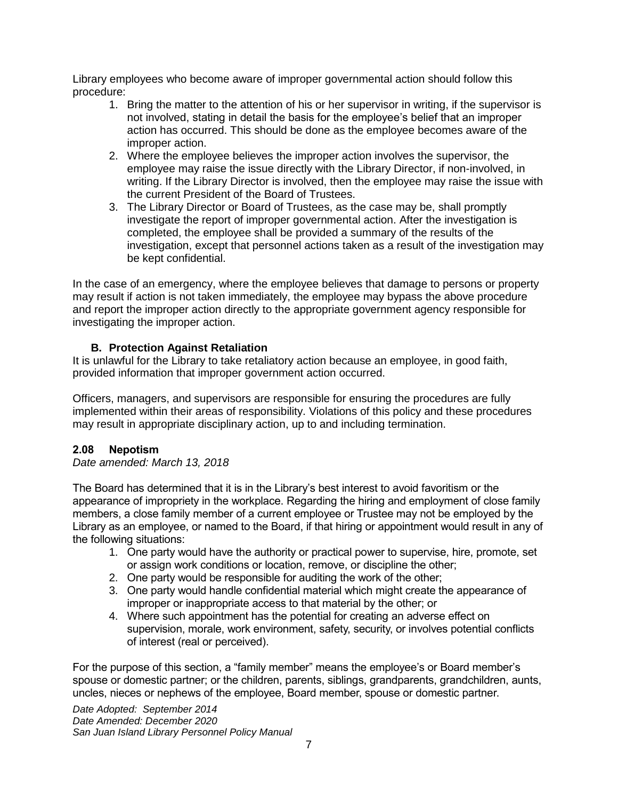Library employees who become aware of improper governmental action should follow this procedure:

- 1. Bring the matter to the attention of his or her supervisor in writing, if the supervisor is not involved, stating in detail the basis for the employee's belief that an improper action has occurred. This should be done as the employee becomes aware of the improper action.
- 2. Where the employee believes the improper action involves the supervisor, the employee may raise the issue directly with the Library Director, if non-involved, in writing. If the Library Director is involved, then the employee may raise the issue with the current President of the Board of Trustees.
- 3. The Library Director or Board of Trustees, as the case may be, shall promptly investigate the report of improper governmental action. After the investigation is completed, the employee shall be provided a summary of the results of the investigation, except that personnel actions taken as a result of the investigation may be kept confidential.

In the case of an emergency, where the employee believes that damage to persons or property may result if action is not taken immediately, the employee may bypass the above procedure and report the improper action directly to the appropriate government agency responsible for investigating the improper action.

# **B. Protection Against Retaliation**

It is unlawful for the Library to take retaliatory action because an employee, in good faith, provided information that improper government action occurred.

Officers, managers, and supervisors are responsible for ensuring the procedures are fully implemented within their areas of responsibility. Violations of this policy and these procedures may result in appropriate disciplinary action, up to and including termination.

# <span id="page-10-0"></span>**2.08 Nepotism**

*Date amended: March 13, 2018*

The Board has determined that it is in the Library's best interest to avoid favoritism or the appearance of impropriety in the workplace. Regarding the hiring and employment of close family members, a close family member of a current employee or Trustee may not be employed by the Library as an employee, or named to the Board, if that hiring or appointment would result in any of the following situations:

- 1. One party would have the authority or practical power to supervise, hire, promote, set or assign work conditions or location, remove, or discipline the other;
- 2. One party would be responsible for auditing the work of the other;
- 3. One party would handle confidential material which might create the appearance of improper or inappropriate access to that material by the other; or
- 4. Where such appointment has the potential for creating an adverse effect on supervision, morale, work environment, safety, security, or involves potential conflicts of interest (real or perceived).

For the purpose of this section, a "family member" means the employee's or Board member's spouse or domestic partner; or the children, parents, siblings, grandparents, grandchildren, aunts, uncles, nieces or nephews of the employee, Board member, spouse or domestic partner.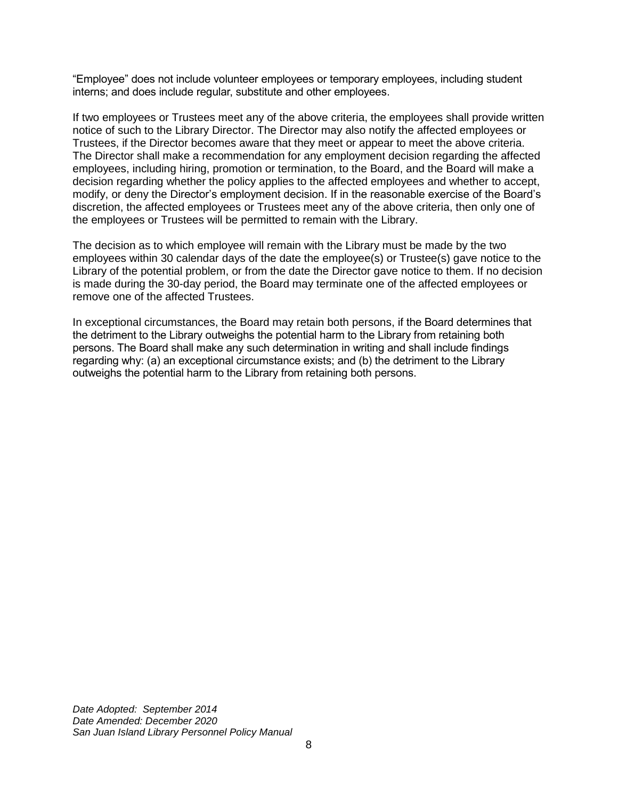"Employee" does not include volunteer employees or temporary employees, including student interns; and does include regular, substitute and other employees.

If two employees or Trustees meet any of the above criteria, the employees shall provide written notice of such to the Library Director. The Director may also notify the affected employees or Trustees, if the Director becomes aware that they meet or appear to meet the above criteria. The Director shall make a recommendation for any employment decision regarding the affected employees, including hiring, promotion or termination, to the Board, and the Board will make a decision regarding whether the policy applies to the affected employees and whether to accept, modify, or deny the Director's employment decision. If in the reasonable exercise of the Board's discretion, the affected employees or Trustees meet any of the above criteria, then only one of the employees or Trustees will be permitted to remain with the Library.

The decision as to which employee will remain with the Library must be made by the two employees within 30 calendar days of the date the employee(s) or Trustee(s) gave notice to the Library of the potential problem, or from the date the Director gave notice to them. If no decision is made during the 30-day period, the Board may terminate one of the affected employees or remove one of the affected Trustees.

In exceptional circumstances, the Board may retain both persons, if the Board determines that the detriment to the Library outweighs the potential harm to the Library from retaining both persons. The Board shall make any such determination in writing and shall include findings regarding why: (a) an exceptional circumstance exists; and (b) the detriment to the Library outweighs the potential harm to the Library from retaining both persons.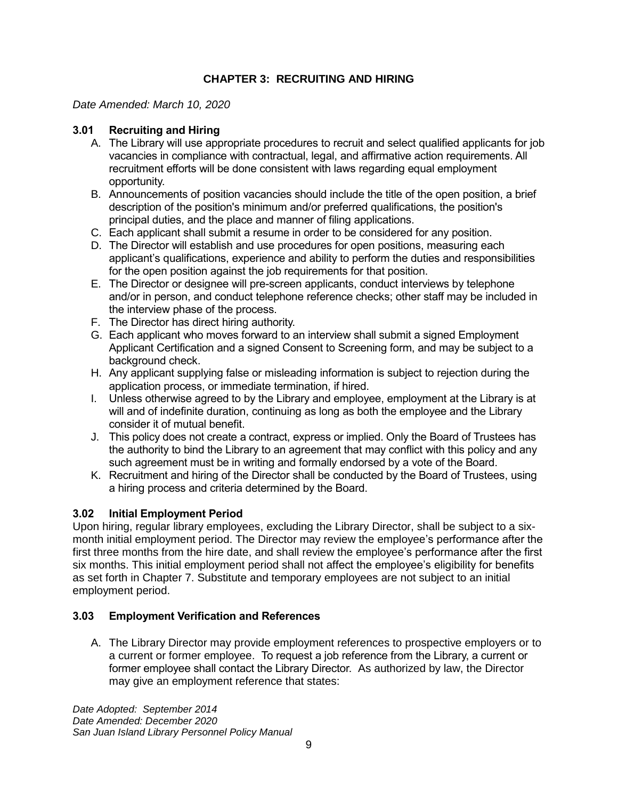# **CHAPTER 3: RECRUITING AND HIRING**

# <span id="page-12-0"></span>*Date Amended: March 10, 2020*

# <span id="page-12-1"></span>**3.01 Recruiting and Hiring**

- A. The Library will use appropriate procedures to recruit and select qualified applicants for job vacancies in compliance with contractual, legal, and affirmative action requirements. All recruitment efforts will be done consistent with laws regarding equal employment opportunity.
- B. Announcements of position vacancies should include the title of the open position, a brief description of the position's minimum and/or preferred qualifications, the position's principal duties, and the place and manner of filing applications.
- C. Each applicant shall submit a resume in order to be considered for any position.
- D. The Director will establish and use procedures for open positions, measuring each applicant's qualifications, experience and ability to perform the duties and responsibilities for the open position against the job requirements for that position.
- E. The Director or designee will pre-screen applicants, conduct interviews by telephone and/or in person, and conduct telephone reference checks; other staff may be included in the interview phase of the process.
- F. The Director has direct hiring authority.
- G. Each applicant who moves forward to an interview shall submit a signed Employment Applicant Certification and a signed Consent to Screening form, and may be subject to a background check.
- H. Any applicant supplying false or misleading information is subject to rejection during the application process, or immediate termination, if hired.
- I. Unless otherwise agreed to by the Library and employee, employment at the Library is at will and of indefinite duration, continuing as long as both the employee and the Library consider it of mutual benefit.
- J. This policy does not create a contract, express or implied. Only the Board of Trustees has the authority to bind the Library to an agreement that may conflict with this policy and any such agreement must be in writing and formally endorsed by a vote of the Board.
- K. Recruitment and hiring of the Director shall be conducted by the Board of Trustees, using a hiring process and criteria determined by the Board.

# <span id="page-12-2"></span>**3.02 Initial Employment Period**

Upon hiring, regular library employees, excluding the Library Director, shall be subject to a sixmonth initial employment period. The Director may review the employee's performance after the first three months from the hire date, and shall review the employee's performance after the first six months. This initial employment period shall not affect the employee's eligibility for benefits as set forth in Chapter 7. Substitute and temporary employees are not subject to an initial employment period.

# <span id="page-12-3"></span>**3.03 Employment Verification and References**

A. The Library Director may provide employment references to prospective employers or to a current or former employee. To request a job reference from the Library, a current or former employee shall contact the Library Director. As authorized by law, the Director may give an employment reference that states: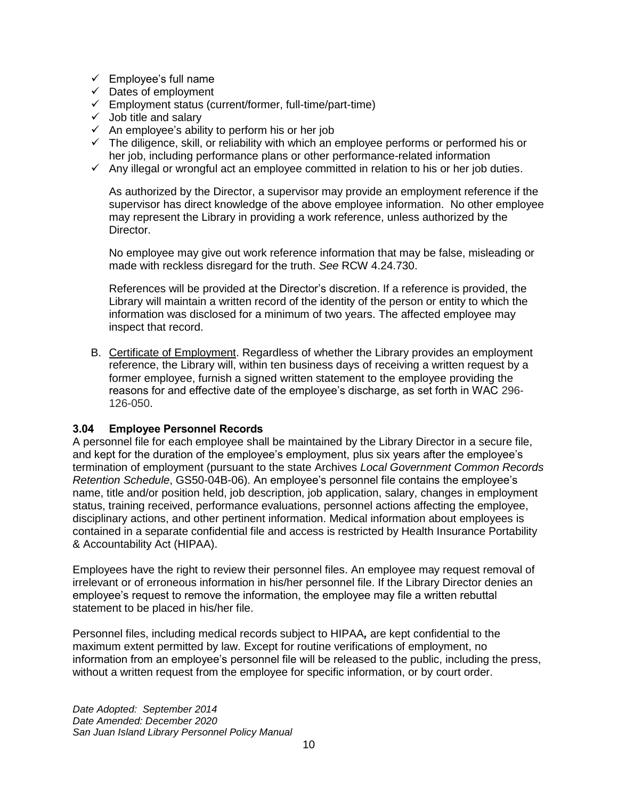- $\checkmark$  Employee's full name
- $\checkmark$  Dates of employment
- ✓ Employment status (current/former, full-time/part-time)
- ✓ Job title and salary
- $\checkmark$  An employee's ability to perform his or her job
- $\checkmark$  The diligence, skill, or reliability with which an employee performs or performed his or her job, including performance plans or other performance-related information
- $\checkmark$  Any illegal or wrongful act an employee committed in relation to his or her job duties.

As authorized by the Director, a supervisor may provide an employment reference if the supervisor has direct knowledge of the above employee information. No other employee may represent the Library in providing a work reference, unless authorized by the Director.

No employee may give out work reference information that may be false, misleading or made with reckless disregard for the truth. *See* RCW 4.24.730.

References will be provided at the Director's discretion. If a reference is provided, the Library will maintain a written record of the identity of the person or entity to which the information was disclosed for a minimum of two years. The affected employee may inspect that record.

B. Certificate of Employment. Regardless of whether the Library provides an employment reference, the Library will, within ten business days of receiving a written request by a former employee, furnish a signed written statement to the employee providing the reasons for and effective date of the employee's discharge, as set forth in WAC 296- 126-050.

# <span id="page-13-0"></span>**3.04 Employee Personnel Records**

A personnel file for each employee shall be maintained by the Library Director in a secure file, and kept for the duration of the employee's employment, plus six years after the employee's termination of employment (pursuant to the state Archives *Local Government Common Records Retention Schedule*, GS50-04B-06). An employee's personnel file contains the employee's name, title and/or position held, job description, job application, salary, changes in employment status, training received, performance evaluations, personnel actions affecting the employee, disciplinary actions, and other pertinent information. Medical information about employees is contained in a separate confidential file and access is restricted by Health Insurance Portability & Accountability Act (HIPAA).

Employees have the right to review their personnel files. An employee may request removal of irrelevant or of erroneous information in his/her personnel file. If the Library Director denies an employee's request to remove the information, the employee may file a written rebuttal statement to be placed in his/her file.

Personnel files, including medical records subject to HIPAA*,* are kept confidential to the maximum extent permitted by law. Except for routine verifications of employment, no information from an employee's personnel file will be released to the public, including the press, without a written request from the employee for specific information, or by court order.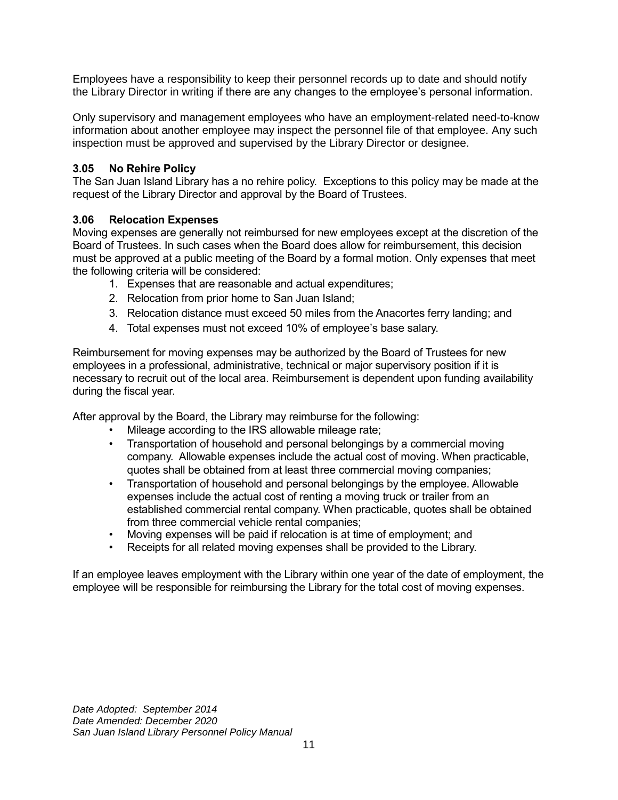Employees have a responsibility to keep their personnel records up to date and should notify the Library Director in writing if there are any changes to the employee's personal information.

Only supervisory and management employees who have an employment-related need-to-know information about another employee may inspect the personnel file of that employee. Any such inspection must be approved and supervised by the Library Director or designee.

# <span id="page-14-0"></span>**3.05 No Rehire Policy**

The San Juan Island Library has a no rehire policy. Exceptions to this policy may be made at the request of the Library Director and approval by the Board of Trustees.

# <span id="page-14-1"></span>**3.06 Relocation Expenses**

Moving expenses are generally not reimbursed for new employees except at the discretion of the Board of Trustees. In such cases when the Board does allow for reimbursement, this decision must be approved at a public meeting of the Board by a formal motion. Only expenses that meet the following criteria will be considered:

- 1. Expenses that are reasonable and actual expenditures;
- 2. Relocation from prior home to San Juan Island;
- 3. Relocation distance must exceed 50 miles from the Anacortes ferry landing; and
- 4. Total expenses must not exceed 10% of employee's base salary.

Reimbursement for moving expenses may be authorized by the Board of Trustees for new employees in a professional, administrative, technical or major supervisory position if it is necessary to recruit out of the local area. Reimbursement is dependent upon funding availability during the fiscal year.

After approval by the Board, the Library may reimburse for the following:

- Mileage according to the IRS allowable mileage rate;
- Transportation of household and personal belongings by a commercial moving company. Allowable expenses include the actual cost of moving. When practicable, quotes shall be obtained from at least three commercial moving companies;
- Transportation of household and personal belongings by the employee. Allowable expenses include the actual cost of renting a moving truck or trailer from an established commercial rental company. When practicable, quotes shall be obtained from three commercial vehicle rental companies;
- Moving expenses will be paid if relocation is at time of employment; and
- Receipts for all related moving expenses shall be provided to the Library.

If an employee leaves employment with the Library within one year of the date of employment, the employee will be responsible for reimbursing the Library for the total cost of moving expenses.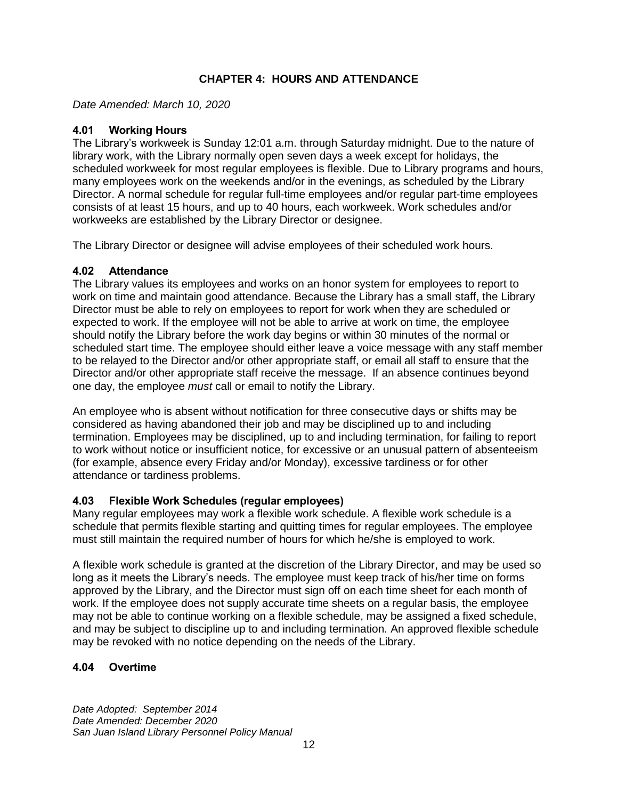# **CHAPTER 4: HOURS AND ATTENDANCE**

<span id="page-15-0"></span>*Date Amended: March 10, 2020*

### <span id="page-15-1"></span>**4.01 Working Hours**

The Library's workweek is Sunday 12:01 a.m. through Saturday midnight. Due to the nature of library work, with the Library normally open seven days a week except for holidays, the scheduled workweek for most regular employees is flexible. Due to Library programs and hours, many employees work on the weekends and/or in the evenings, as scheduled by the Library Director. A normal schedule for regular full-time employees and/or regular part-time employees consists of at least 15 hours, and up to 40 hours, each workweek. Work schedules and/or workweeks are established by the Library Director or designee.

The Library Director or designee will advise employees of their scheduled work hours.

#### <span id="page-15-2"></span>**4.02 Attendance**

The Library values its employees and works on an honor system for employees to report to work on time and maintain good attendance. Because the Library has a small staff, the Library Director must be able to rely on employees to report for work when they are scheduled or expected to work. If the employee will not be able to arrive at work on time, the employee should notify the Library before the work day begins or within 30 minutes of the normal or scheduled start time. The employee should either leave a voice message with any staff member to be relayed to the Director and/or other appropriate staff, or email all staff to ensure that the Director and/or other appropriate staff receive the message. If an absence continues beyond one day, the employee *must* call or email to notify the Library.

An employee who is absent without notification for three consecutive days or shifts may be considered as having abandoned their job and may be disciplined up to and including termination. Employees may be disciplined, up to and including termination, for failing to report to work without notice or insufficient notice, for excessive or an unusual pattern of absenteeism (for example, absence every Friday and/or Monday), excessive tardiness or for other attendance or tardiness problems.

# <span id="page-15-3"></span>**4.03 Flexible Work Schedules (regular employees)**

Many regular employees may work a flexible work schedule. A flexible work schedule is a schedule that permits flexible starting and quitting times for regular employees. The employee must still maintain the required number of hours for which he/she is employed to work.

A flexible work schedule is granted at the discretion of the Library Director, and may be used so long as it meets the Library's needs. The employee must keep track of his/her time on forms approved by the Library, and the Director must sign off on each time sheet for each month of work. If the employee does not supply accurate time sheets on a regular basis, the employee may not be able to continue working on a flexible schedule, may be assigned a fixed schedule, and may be subject to discipline up to and including termination. An approved flexible schedule may be revoked with no notice depending on the needs of the Library.

# <span id="page-15-4"></span>**4.04 Overtime**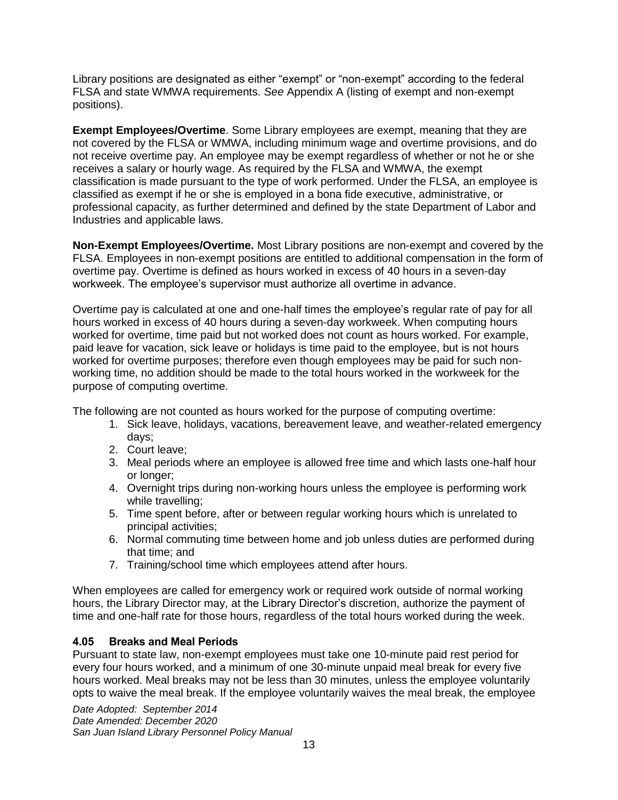Library positions are designated as either "exempt" or "non-exempt" according to the federal FLSA and state WMWA requirements. *See* Appendix A (listing of exempt and non-exempt positions).

**Exempt Employees/Overtime**. Some Library employees are exempt, meaning that they are not covered by the FLSA or WMWA, including minimum wage and overtime provisions, and do not receive overtime pay. An employee may be exempt regardless of whether or not he or she receives a salary or hourly wage. As required by the FLSA and WMWA, the exempt classification is made pursuant to the type of work performed. Under the FLSA, an employee is classified as exempt if he or she is employed in a bona fide executive, administrative, or professional capacity, as further determined and defined by the state Department of Labor and Industries and applicable laws.

**Non-Exempt Employees/Overtime.** Most Library positions are non-exempt and covered by the FLSA. Employees in non-exempt positions are entitled to additional compensation in the form of overtime pay. Overtime is defined as hours worked in excess of 40 hours in a seven-day workweek. The employee's supervisor must authorize all overtime in advance.

Overtime pay is calculated at one and one-half times the employee's regular rate of pay for all hours worked in excess of 40 hours during a seven-day workweek. When computing hours worked for overtime, time paid but not worked does not count as hours worked. For example, paid leave for vacation, sick leave or holidays is time paid to the employee, but is not hours worked for overtime purposes; therefore even though employees may be paid for such nonworking time, no addition should be made to the total hours worked in the workweek for the purpose of computing overtime.

The following are not counted as hours worked for the purpose of computing overtime:

- 1. Sick leave, holidays, vacations, bereavement leave, and weather-related emergency days;
- 2. Court leave;
- 3. Meal periods where an employee is allowed free time and which lasts one-half hour or longer;
- 4. Overnight trips during non-working hours unless the employee is performing work while travelling;
- 5. Time spent before, after or between regular working hours which is unrelated to principal activities;
- 6. Normal commuting time between home and job unless duties are performed during that time; and
- 7. Training/school time which employees attend after hours.

When employees are called for emergency work or required work outside of normal working hours, the Library Director may, at the Library Director's discretion, authorize the payment of time and one-half rate for those hours, regardless of the total hours worked during the week.

# <span id="page-16-0"></span>**4.05 Breaks and Meal Periods**

Pursuant to state law, non-exempt employees must take one 10-minute paid rest period for every four hours worked, and a minimum of one 30-minute unpaid meal break for every five hours worked. Meal breaks may not be less than 30 minutes, unless the employee voluntarily opts to waive the meal break. If the employee voluntarily waives the meal break, the employee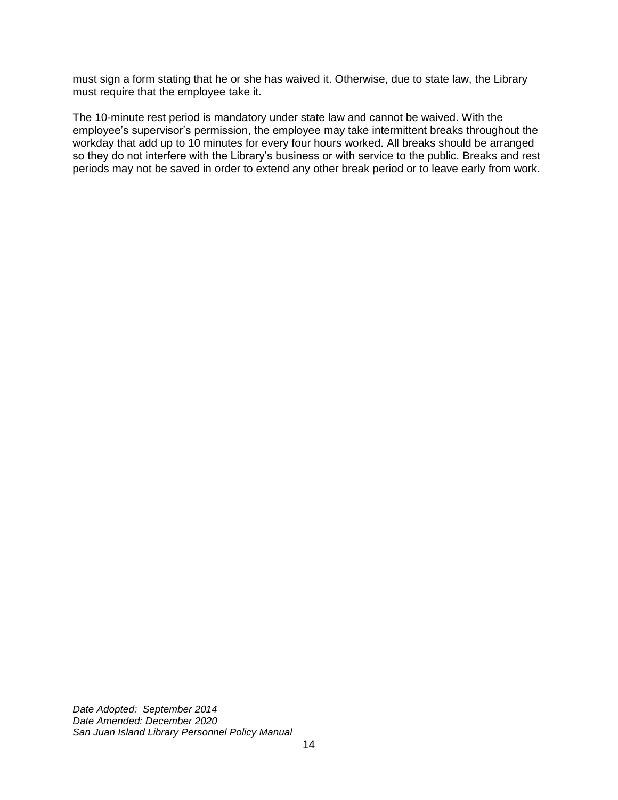must sign a form stating that he or she has waived it. Otherwise, due to state law, the Library must require that the employee take it.

The 10-minute rest period is mandatory under state law and cannot be waived. With the employee's supervisor's permission, the employee may take intermittent breaks throughout the workday that add up to 10 minutes for every four hours worked. All breaks should be arranged so they do not interfere with the Library's business or with service to the public. Breaks and rest periods may not be saved in order to extend any other break period or to leave early from work.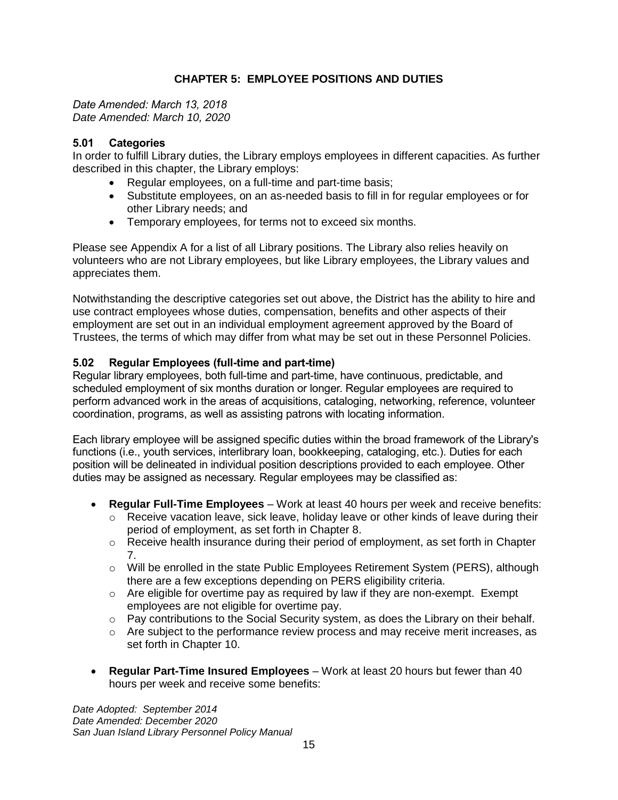# **CHAPTER 5: EMPLOYEE POSITIONS AND DUTIES**

<span id="page-18-1"></span><span id="page-18-0"></span>*Date Amended: March 13, 2018 Date Amended: March 10, 2020*

# <span id="page-18-2"></span>**5.01 Categories**

In order to fulfill Library duties, the Library employs employees in different capacities. As further described in this chapter, the Library employs:

- Regular employees, on a full-time and part-time basis;
- Substitute employees, on an as-needed basis to fill in for regular employees or for other Library needs; and
- Temporary employees, for terms not to exceed six months.

Please see Appendix A for a list of all Library positions. The Library also relies heavily on volunteers who are not Library employees, but like Library employees, the Library values and appreciates them.

Notwithstanding the descriptive categories set out above, the District has the ability to hire and use contract employees whose duties, compensation, benefits and other aspects of their employment are set out in an individual employment agreement approved by the Board of Trustees, the terms of which may differ from what may be set out in these Personnel Policies.

# <span id="page-18-3"></span>**5.02 Regular Employees (full-time and part-time)**

Regular library employees, both full-time and part-time, have continuous, predictable, and scheduled employment of six months duration or longer. Regular employees are required to perform advanced work in the areas of acquisitions, cataloging, networking, reference, volunteer coordination, programs, as well as assisting patrons with locating information.

Each library employee will be assigned specific duties within the broad framework of the Library's functions (i.e., youth services, interlibrary loan, bookkeeping, cataloging, etc.). Duties for each position will be delineated in individual position descriptions provided to each employee. Other duties may be assigned as necessary. Regular employees may be classified as:

- **Regular Full-Time Employees** Work at least 40 hours per week and receive benefits:
	- o Receive vacation leave, sick leave, holiday leave or other kinds of leave during their period of employment, as set forth in Chapter 8.
	- $\circ$  Receive health insurance during their period of employment, as set forth in Chapter 7.
	- o Will be enrolled in the state Public Employees Retirement System (PERS), although there are a few exceptions depending on PERS eligibility criteria.
	- $\circ$  Are eligible for overtime pay as required by law if they are non-exempt. Exempt employees are not eligible for overtime pay.
	- $\circ$  Pay contributions to the Social Security system, as does the Library on their behalf.
	- $\circ$  Are subject to the performance review process and may receive merit increases, as set forth in Chapter 10.
- **Regular Part-Time Insured Employees** Work at least 20 hours but fewer than 40 hours per week and receive some benefits: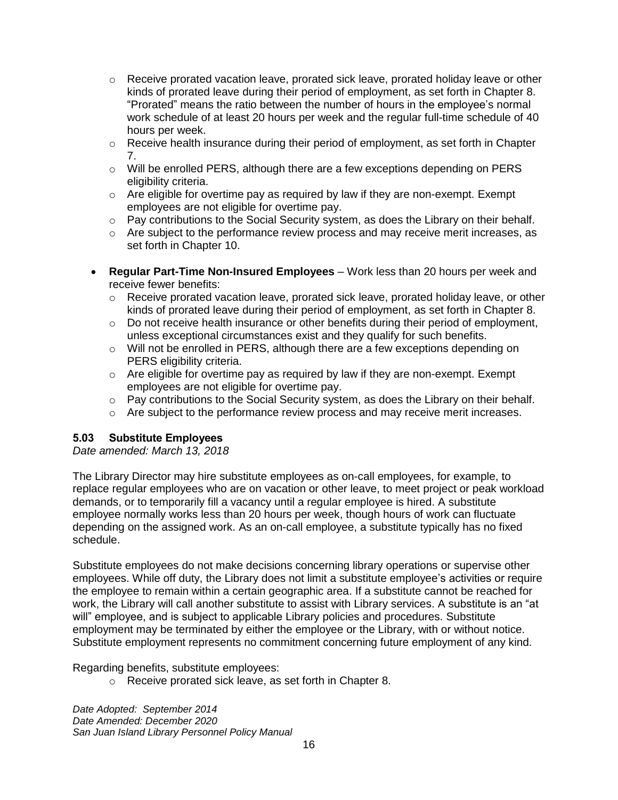- o Receive prorated vacation leave, prorated sick leave, prorated holiday leave or other kinds of prorated leave during their period of employment, as set forth in Chapter 8. "Prorated" means the ratio between the number of hours in the employee's normal work schedule of at least 20 hours per week and the regular full-time schedule of 40 hours per week.
- $\circ$  Receive health insurance during their period of employment, as set forth in Chapter 7.
- $\circ$  Will be enrolled PERS, although there are a few exceptions depending on PERS eligibility criteria.
- $\circ$  Are eligible for overtime pay as required by law if they are non-exempt. Exempt employees are not eligible for overtime pay.
- $\circ$  Pay contributions to the Social Security system, as does the Library on their behalf.
- $\circ$  Are subject to the performance review process and may receive merit increases, as set forth in Chapter 10.
- **Regular Part-Time Non-Insured Employees** Work less than 20 hours per week and receive fewer benefits:
	- $\circ$  Receive prorated vacation leave, prorated sick leave, prorated holiday leave, or other kinds of prorated leave during their period of employment, as set forth in Chapter 8.
	- $\circ$  Do not receive health insurance or other benefits during their period of employment, unless exceptional circumstances exist and they qualify for such benefits.
	- $\circ$  Will not be enrolled in PERS, although there are a few exceptions depending on PERS eligibility criteria.
	- $\circ$  Are eligible for overtime pay as required by law if they are non-exempt. Exempt employees are not eligible for overtime pay.
	- $\circ$  Pay contributions to the Social Security system, as does the Library on their behalf.
	- o Are subject to the performance review process and may receive merit increases.

# <span id="page-19-0"></span>**5.03 Substitute Employees**

*Date amended: March 13, 2018*

The Library Director may hire substitute employees as on-call employees, for example, to replace regular employees who are on vacation or other leave, to meet project or peak workload demands, or to temporarily fill a vacancy until a regular employee is hired. A substitute employee normally works less than 20 hours per week, though hours of work can fluctuate depending on the assigned work. As an on-call employee, a substitute typically has no fixed schedule.

Substitute employees do not make decisions concerning library operations or supervise other employees. While off duty, the Library does not limit a substitute employee's activities or require the employee to remain within a certain geographic area. If a substitute cannot be reached for work, the Library will call another substitute to assist with Library services. A substitute is an "at will" employee, and is subject to applicable Library policies and procedures. Substitute employment may be terminated by either the employee or the Library, with or without notice. Substitute employment represents no commitment concerning future employment of any kind.

Regarding benefits, substitute employees:

o Receive prorated sick leave, as set forth in Chapter 8.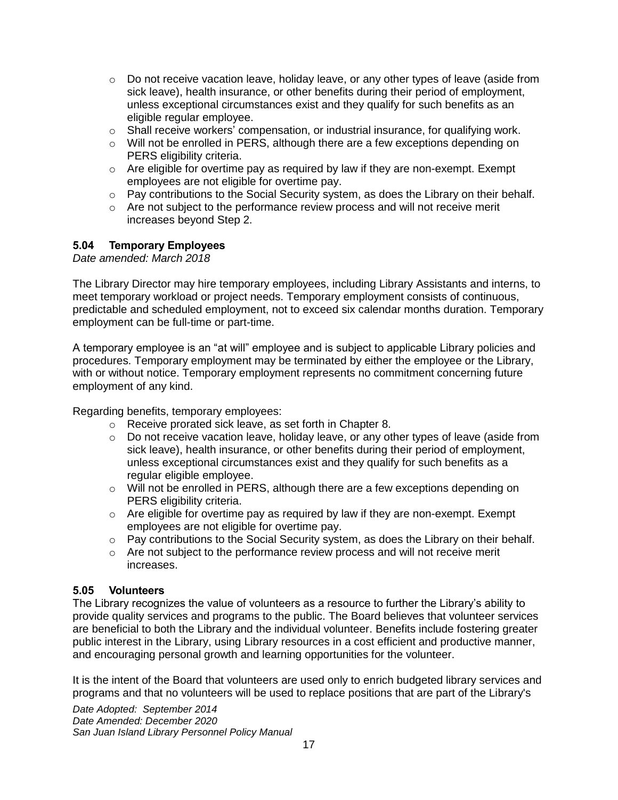- $\circ$  Do not receive vacation leave, holiday leave, or any other types of leave (aside from sick leave), health insurance, or other benefits during their period of employment, unless exceptional circumstances exist and they qualify for such benefits as an eligible regular employee.
- $\circ$  Shall receive workers' compensation, or industrial insurance, for qualifying work.
- $\circ$  Will not be enrolled in PERS, although there are a few exceptions depending on PERS eligibility criteria.
- $\circ$  Are eligible for overtime pay as required by law if they are non-exempt. Exempt employees are not eligible for overtime pay.
- o Pay contributions to the Social Security system, as does the Library on their behalf.
- o Are not subject to the performance review process and will not receive merit increases beyond Step 2.

#### <span id="page-20-0"></span>**5.04 Temporary Employees**

*Date amended: March 2018*

The Library Director may hire temporary employees, including Library Assistants and interns, to meet temporary workload or project needs. Temporary employment consists of continuous, predictable and scheduled employment, not to exceed six calendar months duration. Temporary employment can be full-time or part-time.

A temporary employee is an "at will" employee and is subject to applicable Library policies and procedures. Temporary employment may be terminated by either the employee or the Library, with or without notice. Temporary employment represents no commitment concerning future employment of any kind.

Regarding benefits, temporary employees:

- o Receive prorated sick leave, as set forth in Chapter 8.
- $\circ$  Do not receive vacation leave, holiday leave, or any other types of leave (aside from sick leave), health insurance, or other benefits during their period of employment, unless exceptional circumstances exist and they qualify for such benefits as a regular eligible employee.
- o Will not be enrolled in PERS, although there are a few exceptions depending on PERS eligibility criteria.
- $\circ$  Are eligible for overtime pay as required by law if they are non-exempt. Exempt employees are not eligible for overtime pay.
- o Pay contributions to the Social Security system, as does the Library on their behalf.
- $\circ$  Are not subject to the performance review process and will not receive merit increases.

#### <span id="page-20-1"></span>**5.05 Volunteers**

The Library recognizes the value of volunteers as a resource to further the Library's ability to provide quality services and programs to the public. The Board believes that volunteer services are beneficial to both the Library and the individual volunteer. Benefits include fostering greater public interest in the Library, using Library resources in a cost efficient and productive manner, and encouraging personal growth and learning opportunities for the volunteer.

It is the intent of the Board that volunteers are used only to enrich budgeted library services and programs and that no volunteers will be used to replace positions that are part of the Library's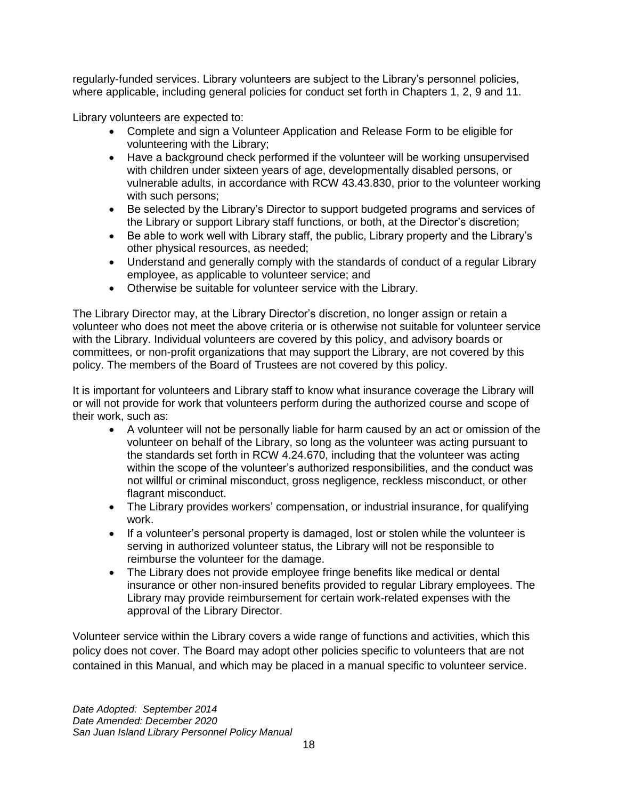regularly-funded services. Library volunteers are subject to the Library's personnel policies, where applicable, including general policies for conduct set forth in Chapters 1, 2, 9 and 11.

Library volunteers are expected to:

- Complete and sign a Volunteer Application and Release Form to be eligible for volunteering with the Library;
- Have a background check performed if the volunteer will be working unsupervised with children under sixteen years of age, developmentally disabled persons, or vulnerable adults, in accordance with RCW 43.43.830, prior to the volunteer working with such persons;
- Be selected by the Library's Director to support budgeted programs and services of the Library or support Library staff functions, or both, at the Director's discretion;
- Be able to work well with Library staff, the public, Library property and the Library's other physical resources, as needed;
- Understand and generally comply with the standards of conduct of a regular Library employee, as applicable to volunteer service; and
- Otherwise be suitable for volunteer service with the Library.

The Library Director may, at the Library Director's discretion, no longer assign or retain a volunteer who does not meet the above criteria or is otherwise not suitable for volunteer service with the Library. Individual volunteers are covered by this policy, and advisory boards or committees, or non-profit organizations that may support the Library, are not covered by this policy. The members of the Board of Trustees are not covered by this policy.

It is important for volunteers and Library staff to know what insurance coverage the Library will or will not provide for work that volunteers perform during the authorized course and scope of their work, such as:

- A volunteer will not be personally liable for harm caused by an act or omission of the volunteer on behalf of the Library, so long as the volunteer was acting pursuant to the standards set forth in RCW 4.24.670, including that the volunteer was acting within the scope of the volunteer's authorized responsibilities, and the conduct was not willful or criminal misconduct, gross negligence, reckless misconduct, or other flagrant misconduct.
- The Library provides workers' compensation, or industrial insurance, for qualifying work.
- If a volunteer's personal property is damaged, lost or stolen while the volunteer is serving in authorized volunteer status, the Library will not be responsible to reimburse the volunteer for the damage.
- The Library does not provide employee fringe benefits like medical or dental insurance or other non-insured benefits provided to regular Library employees. The Library may provide reimbursement for certain work-related expenses with the approval of the Library Director.

Volunteer service within the Library covers a wide range of functions and activities, which this policy does not cover. The Board may adopt other policies specific to volunteers that are not contained in this Manual, and which may be placed in a manual specific to volunteer service.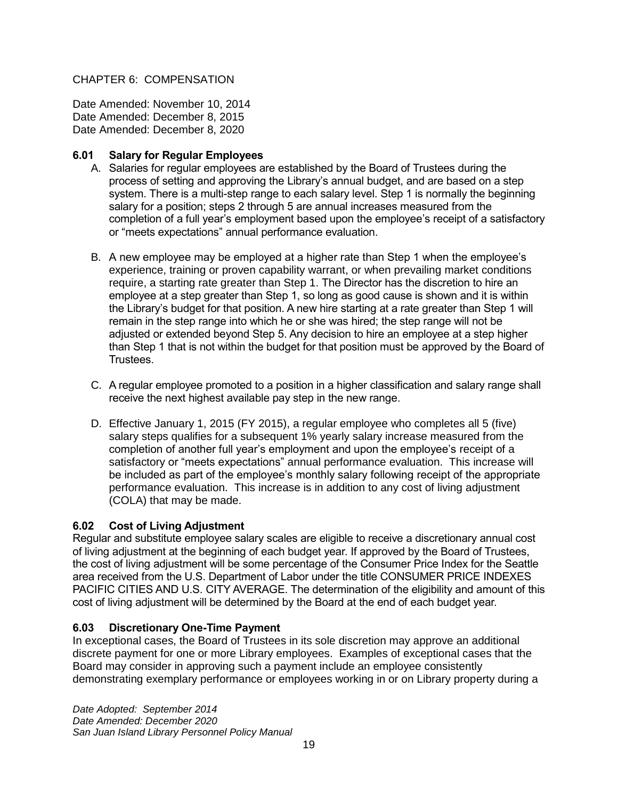CHAPTER 6: COMPENSATION

Date Amended: November 10, 2014 Date Amended: December 8, 2015 Date Amended: December 8, 2020

# <span id="page-22-0"></span>**6.01 Salary for Regular Employees**

- A. Salaries for regular employees are established by the Board of Trustees during the process of setting and approving the Library's annual budget, and are based on a step system. There is a multi-step range to each salary level. Step 1 is normally the beginning salary for a position; steps 2 through 5 are annual increases measured from the completion of a full year's employment based upon the employee's receipt of a satisfactory or "meets expectations" annual performance evaluation.
- B. A new employee may be employed at a higher rate than Step 1 when the employee's experience, training or proven capability warrant, or when prevailing market conditions require, a starting rate greater than Step 1. The Director has the discretion to hire an employee at a step greater than Step 1, so long as good cause is shown and it is within the Library's budget for that position. A new hire starting at a rate greater than Step 1 will remain in the step range into which he or she was hired; the step range will not be adjusted or extended beyond Step 5. Any decision to hire an employee at a step higher than Step 1 that is not within the budget for that position must be approved by the Board of Trustees.
- C. A regular employee promoted to a position in a higher classification and salary range shall receive the next highest available pay step in the new range.
- D. Effective January 1, 2015 (FY 2015), a regular employee who completes all 5 (five) salary steps qualifies for a subsequent 1% yearly salary increase measured from the completion of another full year's employment and upon the employee's receipt of a satisfactory or "meets expectations" annual performance evaluation. This increase will be included as part of the employee's monthly salary following receipt of the appropriate performance evaluation. This increase is in addition to any cost of living adjustment (COLA) that may be made.

# <span id="page-22-1"></span>**6.02 Cost of Living Adjustment**

Regular and substitute employee salary scales are eligible to receive a discretionary annual cost of living adjustment at the beginning of each budget year. If approved by the Board of Trustees, the cost of living adjustment will be some percentage of the Consumer Price Index for the Seattle area received from the U.S. Department of Labor under the title CONSUMER PRICE INDEXES PACIFIC CITIES AND U.S. CITY AVERAGE. The determination of the eligibility and amount of this cost of living adjustment will be determined by the Board at the end of each budget year.

# <span id="page-22-2"></span>**6.03 Discretionary One-Time Payment**

In exceptional cases, the Board of Trustees in its sole discretion may approve an additional discrete payment for one or more Library employees. Examples of exceptional cases that the Board may consider in approving such a payment include an employee consistently demonstrating exemplary performance or employees working in or on Library property during a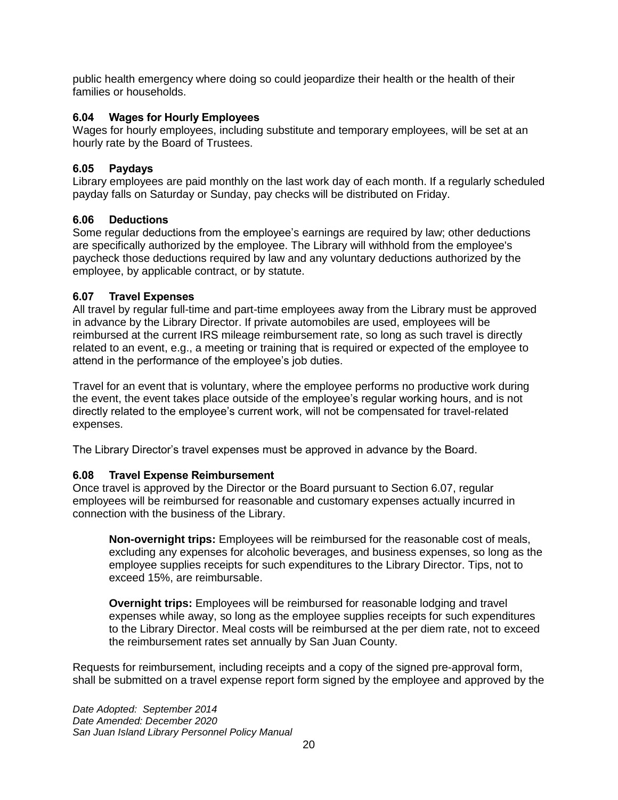public health emergency where doing so could jeopardize their health or the health of their families or households.

# <span id="page-23-0"></span>**6.04 Wages for Hourly Employees**

Wages for hourly employees, including substitute and temporary employees, will be set at an hourly rate by the Board of Trustees.

### <span id="page-23-1"></span>**6.05 Paydays**

Library employees are paid monthly on the last work day of each month. If a regularly scheduled payday falls on Saturday or Sunday, pay checks will be distributed on Friday.

#### <span id="page-23-2"></span>**6.06 Deductions**

Some regular deductions from the employee's earnings are required by law; other deductions are specifically authorized by the employee. The Library will withhold from the employee's paycheck those deductions required by law and any voluntary deductions authorized by the employee, by applicable contract, or by statute.

#### <span id="page-23-3"></span>**6.07 Travel Expenses**

All travel by regular full-time and part-time employees away from the Library must be approved in advance by the Library Director. If private automobiles are used, employees will be reimbursed at the current IRS mileage reimbursement rate, so long as such travel is directly related to an event, e.g., a meeting or training that is required or expected of the employee to attend in the performance of the employee's job duties.

Travel for an event that is voluntary, where the employee performs no productive work during the event, the event takes place outside of the employee's regular working hours, and is not directly related to the employee's current work, will not be compensated for travel-related expenses.

The Library Director's travel expenses must be approved in advance by the Board.

# <span id="page-23-4"></span>**6.08 Travel Expense Reimbursement**

Once travel is approved by the Director or the Board pursuant to Section 6.07, regular employees will be reimbursed for reasonable and customary expenses actually incurred in connection with the business of the Library.

**Non-overnight trips:** Employees will be reimbursed for the reasonable cost of meals, excluding any expenses for alcoholic beverages, and business expenses, so long as the employee supplies receipts for such expenditures to the Library Director. Tips, not to exceed 15%, are reimbursable.

**Overnight trips:** Employees will be reimbursed for reasonable lodging and travel expenses while away, so long as the employee supplies receipts for such expenditures to the Library Director. Meal costs will be reimbursed at the per diem rate, not to exceed the reimbursement rates set annually by San Juan County.

Requests for reimbursement, including receipts and a copy of the signed pre-approval form, shall be submitted on a travel expense report form signed by the employee and approved by the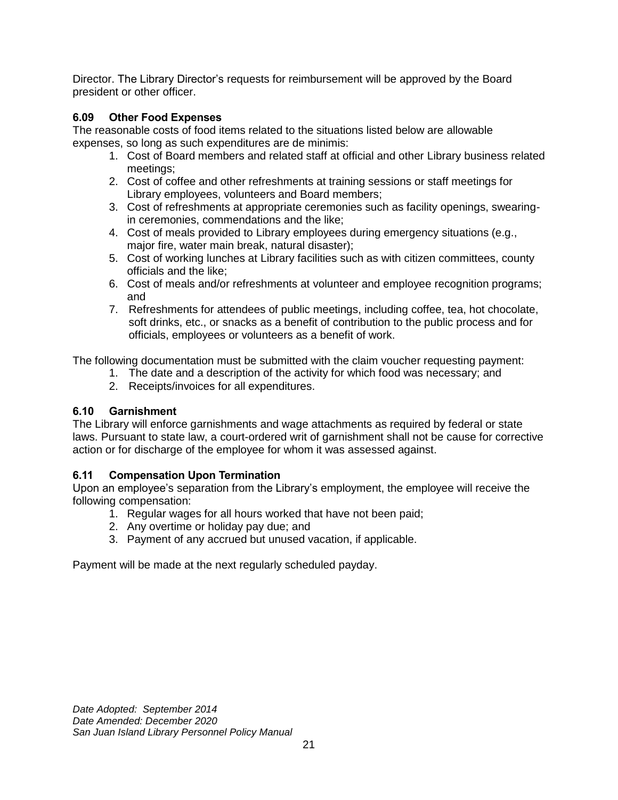Director. The Library Director's requests for reimbursement will be approved by the Board president or other officer.

# <span id="page-24-0"></span>**6.09 Other Food Expenses**

The reasonable costs of food items related to the situations listed below are allowable expenses, so long as such expenditures are de minimis:

- 1. Cost of Board members and related staff at official and other Library business related meetings;
- 2. Cost of coffee and other refreshments at training sessions or staff meetings for Library employees, volunteers and Board members;
- 3. Cost of refreshments at appropriate ceremonies such as facility openings, swearingin ceremonies, commendations and the like;
- 4. Cost of meals provided to Library employees during emergency situations (e.g., major fire, water main break, natural disaster);
- 5. Cost of working lunches at Library facilities such as with citizen committees, county officials and the like;
- 6. Cost of meals and/or refreshments at volunteer and employee recognition programs; and
- 7. Refreshments for attendees of public meetings, including coffee, tea, hot chocolate, soft drinks, etc., or snacks as a benefit of contribution to the public process and for officials, employees or volunteers as a benefit of work.

The following documentation must be submitted with the claim voucher requesting payment:

- 1. The date and a description of the activity for which food was necessary; and
- 2. Receipts/invoices for all expenditures.

# <span id="page-24-1"></span>**6.10 Garnishment**

The Library will enforce garnishments and wage attachments as required by federal or state laws. Pursuant to state law, a court-ordered writ of garnishment shall not be cause for corrective action or for discharge of the employee for whom it was assessed against.

# <span id="page-24-2"></span>**6.11 Compensation Upon Termination**

Upon an employee's separation from the Library's employment, the employee will receive the following compensation:

- 1. Regular wages for all hours worked that have not been paid;
- 2. Any overtime or holiday pay due; and
- 3. Payment of any accrued but unused vacation, if applicable.

Payment will be made at the next regularly scheduled payday.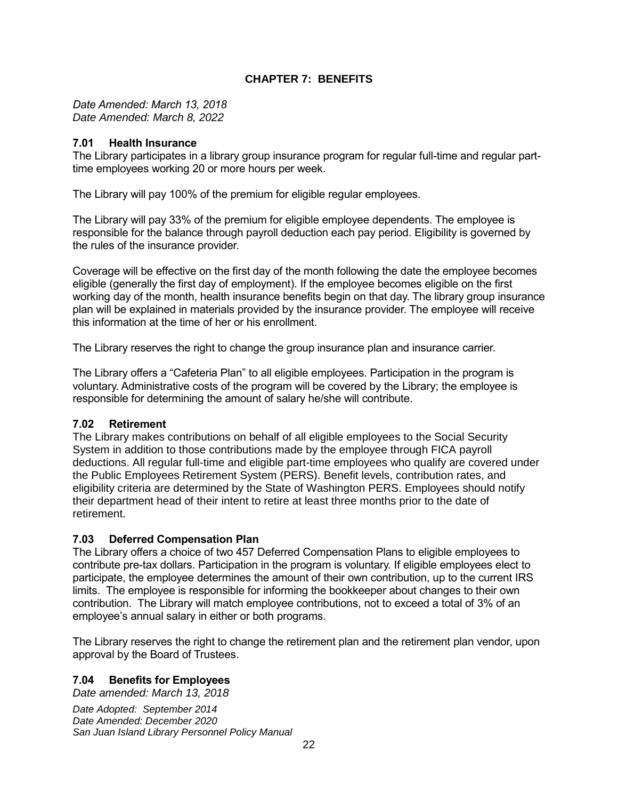# **CHAPTER 7: BENEFITS**

<span id="page-25-0"></span>*Date Amended: March 13, 2018 Date Amended: March 8, 2022*

#### <span id="page-25-1"></span>**7.01 Health Insurance**

The Library participates in a library group insurance program for regular full-time and regular parttime employees working 20 or more hours per week.

The Library will pay 100% of the premium for eligible regular employees.

The Library will pay 33% of the premium for eligible employee dependents. The employee is responsible for the balance through payroll deduction each pay period. Eligibility is governed by the rules of the insurance provider.

Coverage will be effective on the first day of the month following the date the employee becomes eligible (generally the first day of employment). If the employee becomes eligible on the first working day of the month, health insurance benefits begin on that day. The library group insurance plan will be explained in materials provided by the insurance provider. The employee will receive this information at the time of her or his enrollment.

The Library reserves the right to change the group insurance plan and insurance carrier.

The Library offers a "Cafeteria Plan" to all eligible employees. Participation in the program is voluntary. Administrative costs of the program will be covered by the Library; the employee is responsible for determining the amount of salary he/she will contribute.

#### <span id="page-25-2"></span>**7.02 Retirement**

The Library makes contributions on behalf of all eligible employees to the Social Security System in addition to those contributions made by the employee through FICA payroll deductions. All regular full-time and eligible part-time employees who qualify are covered under the Public Employees Retirement System (PERS). Benefit levels, contribution rates, and eligibility criteria are determined by the State of Washington PERS. Employees should notify their department head of their intent to retire at least three months prior to the date of retirement.

# <span id="page-25-3"></span>**7.03 Deferred Compensation Plan**

The Library offers a choice of two 457 Deferred Compensation Plans to eligible employees to contribute pre-tax dollars. Participation in the program is voluntary. If eligible employees elect to participate, the employee determines the amount of their own contribution, up to the current IRS limits. The employee is responsible for informing the bookkeeper about changes to their own contribution. The Library will match employee contributions, not to exceed a total of 3% of an employee's annual salary in either or both programs.

The Library reserves the right to change the retirement plan and the retirement plan vendor, upon approval by the Board of Trustees.

# <span id="page-25-4"></span>**7.04 Benefits for Employees**

*Date amended: March 13, 2018*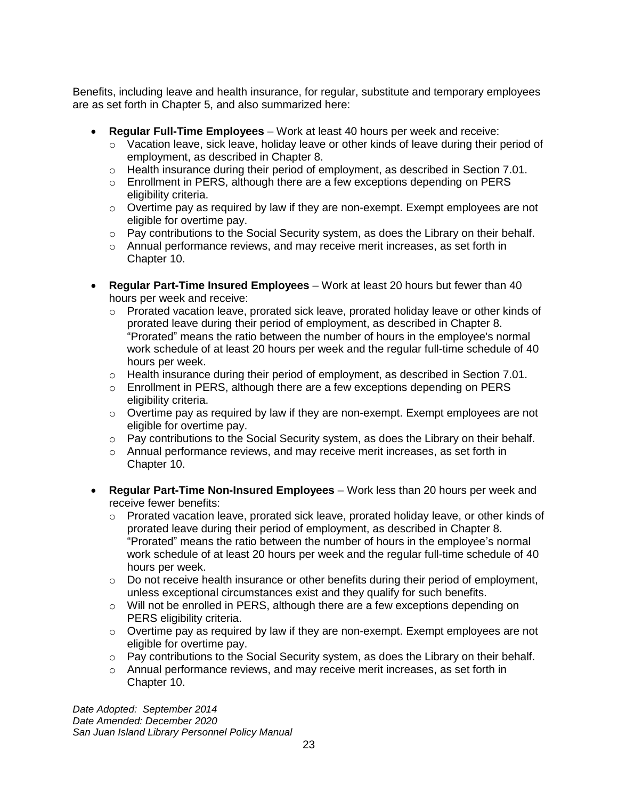Benefits, including leave and health insurance, for regular, substitute and temporary employees are as set forth in Chapter 5, and also summarized here:

- **Regular Full-Time Employees** Work at least 40 hours per week and receive:
	- $\circ$  Vacation leave, sick leave, holiday leave or other kinds of leave during their period of employment, as described in Chapter 8.
	- $\circ$  Health insurance during their period of employment, as described in Section 7.01.
	- $\circ$  Enrollment in PERS, although there are a few exceptions depending on PERS eligibility criteria.
	- $\circ$  Overtime pay as required by law if they are non-exempt. Exempt employees are not eligible for overtime pay.
	- o Pay contributions to the Social Security system, as does the Library on their behalf.
	- $\circ$  Annual performance reviews, and may receive merit increases, as set forth in Chapter 10.
- **Regular Part-Time Insured Employees** Work at least 20 hours but fewer than 40 hours per week and receive:
	- o Prorated vacation leave, prorated sick leave, prorated holiday leave or other kinds of prorated leave during their period of employment, as described in Chapter 8. "Prorated" means the ratio between the number of hours in the employee's normal work schedule of at least 20 hours per week and the regular full-time schedule of 40 hours per week.
	- $\circ$  Health insurance during their period of employment, as described in Section 7.01.
	- $\circ$  Enrollment in PERS, although there are a few exceptions depending on PERS eligibility criteria.
	- $\circ$  Overtime pay as required by law if they are non-exempt. Exempt employees are not eligible for overtime pay.
	- o Pay contributions to the Social Security system, as does the Library on their behalf.
	- $\circ$  Annual performance reviews, and may receive merit increases, as set forth in Chapter 10.
- **Regular Part-Time Non-Insured Employees** Work less than 20 hours per week and receive fewer benefits:
	- o Prorated vacation leave, prorated sick leave, prorated holiday leave, or other kinds of prorated leave during their period of employment, as described in Chapter 8. "Prorated" means the ratio between the number of hours in the employee's normal work schedule of at least 20 hours per week and the regular full-time schedule of 40 hours per week.
	- $\circ$  Do not receive health insurance or other benefits during their period of employment, unless exceptional circumstances exist and they qualify for such benefits.
	- o Will not be enrolled in PERS, although there are a few exceptions depending on PERS eligibility criteria.
	- $\circ$  Overtime pay as required by law if they are non-exempt. Exempt employees are not eligible for overtime pay.
	- $\circ$  Pay contributions to the Social Security system, as does the Library on their behalf.
	- $\circ$  Annual performance reviews, and may receive merit increases, as set forth in Chapter 10.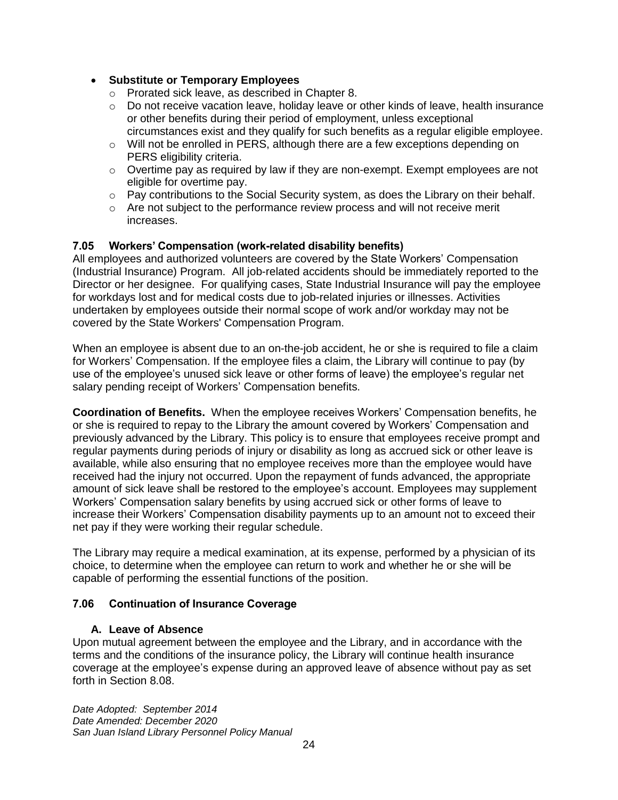# • **Substitute or Temporary Employees**

- o Prorated sick leave, as described in Chapter 8.
- o Do not receive vacation leave, holiday leave or other kinds of leave, health insurance or other benefits during their period of employment, unless exceptional circumstances exist and they qualify for such benefits as a regular eligible employee.
- $\circ$  Will not be enrolled in PERS, although there are a few exceptions depending on PERS eligibility criteria.
- $\circ$  Overtime pay as required by law if they are non-exempt. Exempt employees are not eligible for overtime pay.
- $\circ$  Pay contributions to the Social Security system, as does the Library on their behalf.
- $\circ$  Are not subject to the performance review process and will not receive merit increases.

# <span id="page-27-0"></span>**7.05 Workers' Compensation (work-related disability benefits)**

All employees and authorized volunteers are covered by the State Workers' Compensation (Industrial Insurance) Program. All job-related accidents should be immediately reported to the Director or her designee. For qualifying cases, State Industrial Insurance will pay the employee for workdays lost and for medical costs due to job-related injuries or illnesses. Activities undertaken by employees outside their normal scope of work and/or workday may not be covered by the State Workers' Compensation Program.

When an employee is absent due to an on-the-job accident, he or she is required to file a claim for Workers' Compensation. If the employee files a claim, the Library will continue to pay (by use of the employee's unused sick leave or other forms of leave) the employee's regular net salary pending receipt of Workers' Compensation benefits.

**Coordination of Benefits.** When the employee receives Workers' Compensation benefits, he or she is required to repay to the Library the amount covered by Workers' Compensation and previously advanced by the Library. This policy is to ensure that employees receive prompt and regular payments during periods of injury or disability as long as accrued sick or other leave is available, while also ensuring that no employee receives more than the employee would have received had the injury not occurred. Upon the repayment of funds advanced, the appropriate amount of sick leave shall be restored to the employee's account. Employees may supplement Workers' Compensation salary benefits by using accrued sick or other forms of leave to increase their Workers' Compensation disability payments up to an amount not to exceed their net pay if they were working their regular schedule.

The Library may require a medical examination, at its expense, performed by a physician of its choice, to determine when the employee can return to work and whether he or she will be capable of performing the essential functions of the position.

# <span id="page-27-1"></span>**7.06 Continuation of Insurance Coverage**

# **A. Leave of Absence**

Upon mutual agreement between the employee and the Library, and in accordance with the terms and the conditions of the insurance policy, the Library will continue health insurance coverage at the employee's expense during an approved leave of absence without pay as set forth in Section 8.08.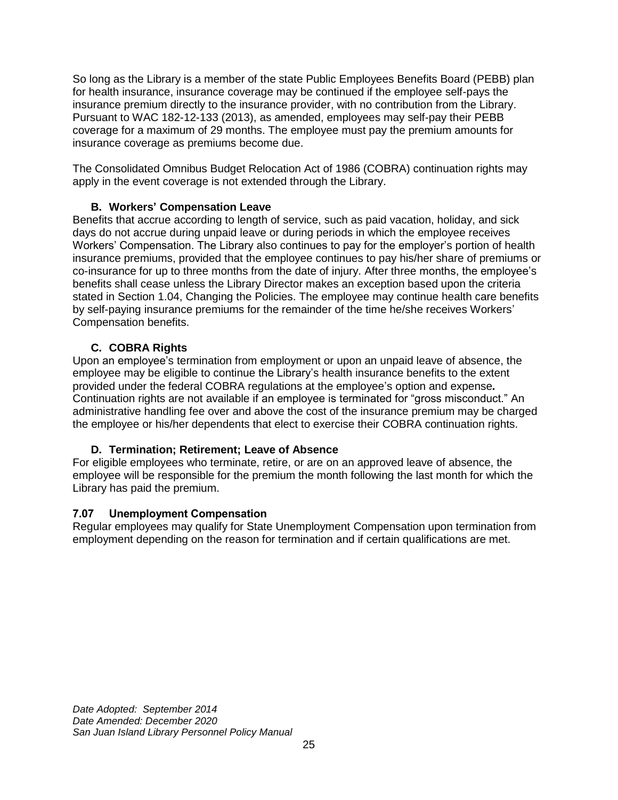So long as the Library is a member of the state Public Employees Benefits Board (PEBB) plan for health insurance, insurance coverage may be continued if the employee self-pays the insurance premium directly to the insurance provider, with no contribution from the Library. Pursuant to WAC 182-12-133 (2013), as amended, employees may self-pay their PEBB coverage for a maximum of 29 months. The employee must pay the premium amounts for insurance coverage as premiums become due.

The Consolidated Omnibus Budget Relocation Act of 1986 (COBRA) continuation rights may apply in the event coverage is not extended through the Library.

# **B. Workers' Compensation Leave**

Benefits that accrue according to length of service, such as paid vacation, holiday, and sick days do not accrue during unpaid leave or during periods in which the employee receives Workers' Compensation. The Library also continues to pay for the employer's portion of health insurance premiums, provided that the employee continues to pay his/her share of premiums or co-insurance for up to three months from the date of injury. After three months, the employee's benefits shall cease unless the Library Director makes an exception based upon the criteria stated in Section 1.04, Changing the Policies. The employee may continue health care benefits by self-paying insurance premiums for the remainder of the time he/she receives Workers' Compensation benefits.

# **C. COBRA Rights**

Upon an employee's termination from employment or upon an unpaid leave of absence, the employee may be eligible to continue the Library's health insurance benefits to the extent provided under the federal COBRA regulations at the employee's option and expense*.* Continuation rights are not available if an employee is terminated for "gross misconduct." An administrative handling fee over and above the cost of the insurance premium may be charged the employee or his/her dependents that elect to exercise their COBRA continuation rights.

# **D. Termination; Retirement; Leave of Absence**

For eligible employees who terminate, retire, or are on an approved leave of absence, the employee will be responsible for the premium the month following the last month for which the Library has paid the premium.

# <span id="page-28-0"></span>**7.07 Unemployment Compensation**

Regular employees may qualify for State Unemployment Compensation upon termination from employment depending on the reason for termination and if certain qualifications are met.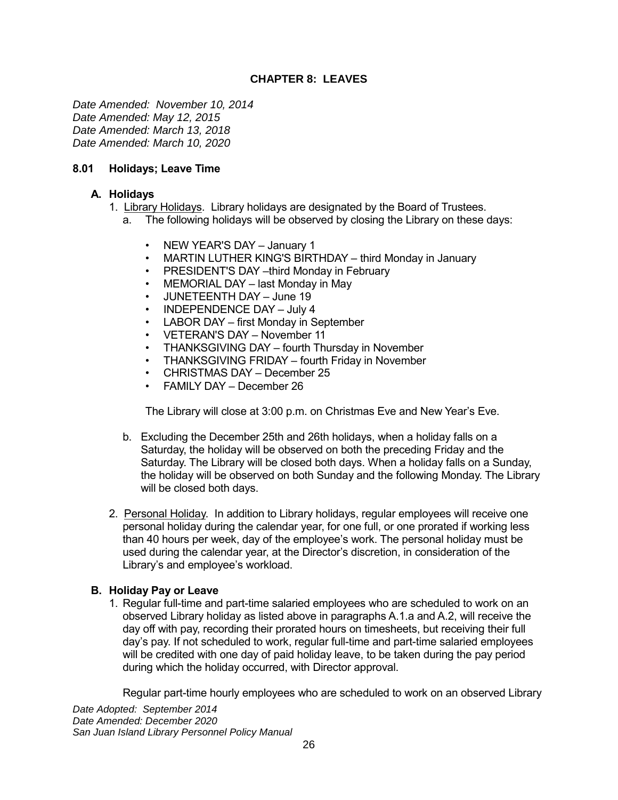# **CHAPTER 8: LEAVES**

<span id="page-29-0"></span>*Date Amended: November 10, 2014 Date Amended: May 12, 2015 Date Amended: March 13, 2018 Date Amended: March 10, 2020*

# <span id="page-29-1"></span>**8.01 Holidays; Leave Time**

# **A. Holidays**

- 1. Library Holidays. Library holidays are designated by the Board of Trustees.
	- a. The following holidays will be observed by closing the Library on these days:
		- NEW YEAR'S DAY January 1
		- MARTIN LUTHER KING'S BIRTHDAY third Monday in January
		- PRESIDENT'S DAY -third Monday in February
		- MEMORIAL DAY last Monday in May
		- JUNETEENTH DAY June 19
		- INDEPENDENCE DAY July 4
		- LABOR DAY first Monday in September
		- VETERAN'S DAY November 11
		- THANKSGIVING DAY fourth Thursday in November
		- THANKSGIVING FRIDAY fourth Friday in November
		- CHRISTMAS DAY December 25
		- FAMILY DAY December 26

The Library will close at 3:00 p.m. on Christmas Eve and New Year's Eve.

- b. Excluding the December 25th and 26th holidays, when a holiday falls on a Saturday, the holiday will be observed on both the preceding Friday and the Saturday. The Library will be closed both days. When a holiday falls on a Sunday, the holiday will be observed on both Sunday and the following Monday. The Library will be closed both days.
- 2. Personal Holiday. In addition to Library holidays, regular employees will receive one personal holiday during the calendar year, for one full, or one prorated if working less than 40 hours per week, day of the employee's work. The personal holiday must be used during the calendar year, at the Director's discretion, in consideration of the Library's and employee's workload.

# **B. Holiday Pay or Leave**

1. Regular full-time and part-time salaried employees who are scheduled to work on an observed Library holiday as listed above in paragraphs A.1.a and A.2, will receive the day off with pay, recording their prorated hours on timesheets, but receiving their full day's pay. If not scheduled to work, regular full-time and part-time salaried employees will be credited with one day of paid holiday leave, to be taken during the pay period during which the holiday occurred, with Director approval.

Regular part-time hourly employees who are scheduled to work on an observed Library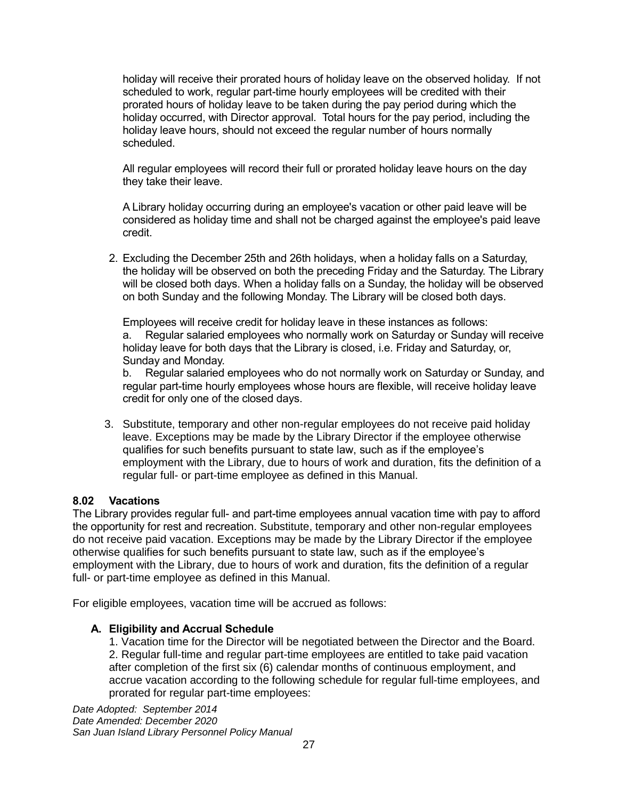holiday will receive their prorated hours of holiday leave on the observed holiday. If not scheduled to work, regular part-time hourly employees will be credited with their prorated hours of holiday leave to be taken during the pay period during which the holiday occurred, with Director approval. Total hours for the pay period, including the holiday leave hours, should not exceed the regular number of hours normally scheduled.

All regular employees will record their full or prorated holiday leave hours on the day they take their leave.

A Library holiday occurring during an employee's vacation or other paid leave will be considered as holiday time and shall not be charged against the employee's paid leave credit.

2. Excluding the December 25th and 26th holidays, when a holiday falls on a Saturday, the holiday will be observed on both the preceding Friday and the Saturday. The Library will be closed both days. When a holiday falls on a Sunday, the holiday will be observed on both Sunday and the following Monday. The Library will be closed both days.

Employees will receive credit for holiday leave in these instances as follows: a. Regular salaried employees who normally work on Saturday or Sunday will receive holiday leave for both days that the Library is closed, i.e. Friday and Saturday, or, Sunday and Monday.

b. Regular salaried employees who do not normally work on Saturday or Sunday, and regular part-time hourly employees whose hours are flexible, will receive holiday leave credit for only one of the closed days.

3. Substitute, temporary and other non-regular employees do not receive paid holiday leave. Exceptions may be made by the Library Director if the employee otherwise qualifies for such benefits pursuant to state law, such as if the employee's employment with the Library, due to hours of work and duration, fits the definition of a regular full- or part-time employee as defined in this Manual.

# <span id="page-30-0"></span>**8.02 Vacations**

The Library provides regular full- and part-time employees annual vacation time with pay to afford the opportunity for rest and recreation. Substitute, temporary and other non-regular employees do not receive paid vacation. Exceptions may be made by the Library Director if the employee otherwise qualifies for such benefits pursuant to state law, such as if the employee's employment with the Library, due to hours of work and duration, fits the definition of a regular full- or part-time employee as defined in this Manual.

For eligible employees, vacation time will be accrued as follows:

# **A. Eligibility and Accrual Schedule**

1. Vacation time for the Director will be negotiated between the Director and the Board. 2. Regular full-time and regular part-time employees are entitled to take paid vacation after completion of the first six (6) calendar months of continuous employment, and accrue vacation according to the following schedule for regular full-time employees, and prorated for regular part-time employees: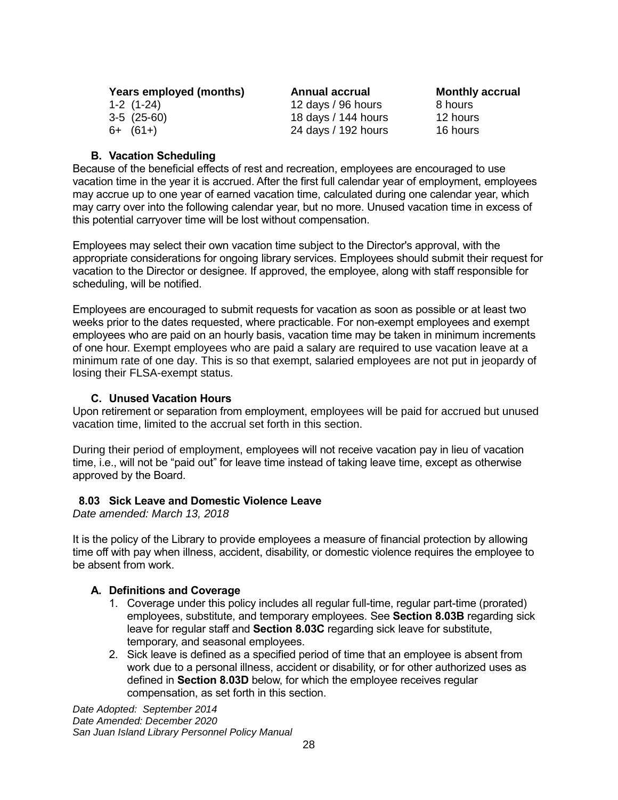| Years employed (months) | Annual accrual      | <b>Monthly accrual</b> |
|-------------------------|---------------------|------------------------|
| $1-2(1-24)$             | 12 days / 96 hours  | 8 hours                |
| $3-5(25-60)$            | 18 days / 144 hours | 12 hours               |
| $6+ (61+)$              | 24 days / 192 hours | 16 hours               |

### **B. Vacation Scheduling**

Because of the beneficial effects of rest and recreation, employees are encouraged to use vacation time in the year it is accrued. After the first full calendar year of employment, employees may accrue up to one year of earned vacation time, calculated during one calendar year, which may carry over into the following calendar year, but no more. Unused vacation time in excess of this potential carryover time will be lost without compensation.

Employees may select their own vacation time subject to the Director's approval, with the appropriate considerations for ongoing library services. Employees should submit their request for vacation to the Director or designee. If approved, the employee, along with staff responsible for scheduling, will be notified.

Employees are encouraged to submit requests for vacation as soon as possible or at least two weeks prior to the dates requested, where practicable. For non-exempt employees and exempt employees who are paid on an hourly basis, vacation time may be taken in minimum increments of one hour. Exempt employees who are paid a salary are required to use vacation leave at a minimum rate of one day. This is so that exempt, salaried employees are not put in jeopardy of losing their FLSA-exempt status.

#### **C. Unused Vacation Hours**

Upon retirement or separation from employment, employees will be paid for accrued but unused vacation time, limited to the accrual set forth in this section.

During their period of employment, employees will not receive vacation pay in lieu of vacation time, i.e., will not be "paid out" for leave time instead of taking leave time, except as otherwise approved by the Board.

#### <span id="page-31-0"></span> **8.03 Sick Leave and Domestic Violence Leave**

*Date amended: March 13, 2018*

It is the policy of the Library to provide employees a measure of financial protection by allowing time off with pay when illness, accident, disability, or domestic violence requires the employee to be absent from work.

#### **A. Definitions and Coverage**

- 1. Coverage under this policy includes all regular full-time, regular part-time (prorated) employees, substitute, and temporary employees. See **Section 8.03B** regarding sick leave for regular staff and **Section 8.03C** regarding sick leave for substitute, temporary, and seasonal employees.
- 2. Sick leave is defined as a specified period of time that an employee is absent from work due to a personal illness, accident or disability, or for other authorized uses as defined in **Section 8.03D** below, for which the employee receives regular compensation, as set forth in this section.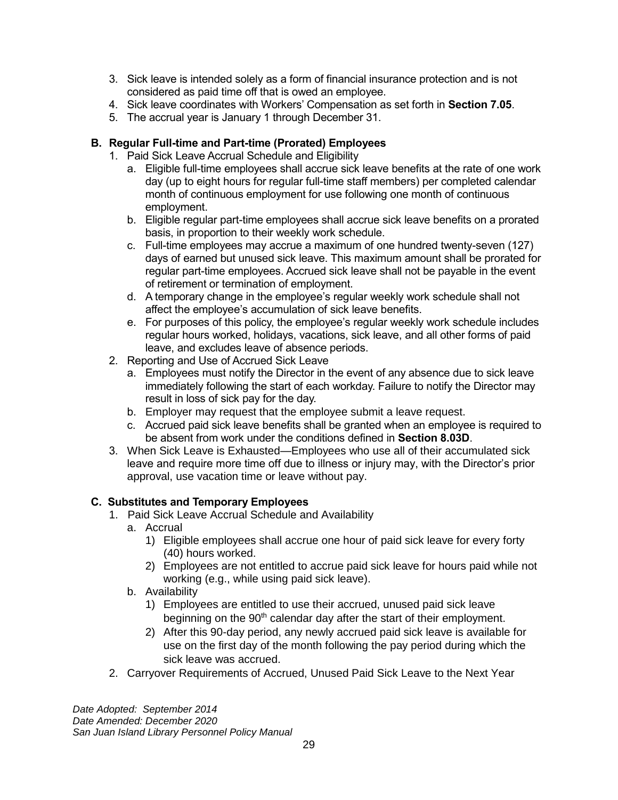- 3. Sick leave is intended solely as a form of financial insurance protection and is not considered as paid time off that is owed an employee.
- 4. Sick leave coordinates with Workers' Compensation as set forth in **Section 7.05**.
- 5. The accrual year is January 1 through December 31.

# **B. Regular Full-time and Part-time (Prorated) Employees**

- 1. Paid Sick Leave Accrual Schedule and Eligibility
	- a. Eligible full-time employees shall accrue sick leave benefits at the rate of one work day (up to eight hours for regular full-time staff members) per completed calendar month of continuous employment for use following one month of continuous employment.
	- b. Eligible regular part-time employees shall accrue sick leave benefits on a prorated basis, in proportion to their weekly work schedule.
	- c. Full-time employees may accrue a maximum of one hundred twenty-seven (127) days of earned but unused sick leave. This maximum amount shall be prorated for regular part-time employees. Accrued sick leave shall not be payable in the event of retirement or termination of employment.
	- d. A temporary change in the employee's regular weekly work schedule shall not affect the employee's accumulation of sick leave benefits.
	- e. For purposes of this policy, the employee's regular weekly work schedule includes regular hours worked, holidays, vacations, sick leave, and all other forms of paid leave, and excludes leave of absence periods.
- 2. Reporting and Use of Accrued Sick Leave
	- a. Employees must notify the Director in the event of any absence due to sick leave immediately following the start of each workday. Failure to notify the Director may result in loss of sick pay for the day.
	- b. Employer may request that the employee submit a leave request.
	- c. Accrued paid sick leave benefits shall be granted when an employee is required to be absent from work under the conditions defined in **Section 8.03D**.
- 3. When Sick Leave is Exhausted—Employees who use all of their accumulated sick leave and require more time off due to illness or injury may, with the Director's prior approval, use vacation time or leave without pay.

# **C. Substitutes and Temporary Employees**

- 1. Paid Sick Leave Accrual Schedule and Availability
	- a. Accrual
		- 1) Eligible employees shall accrue one hour of paid sick leave for every forty (40) hours worked.
		- 2) Employees are not entitled to accrue paid sick leave for hours paid while not working (e.g., while using paid sick leave).
	- b. Availability
		- 1) Employees are entitled to use their accrued, unused paid sick leave beginning on the 90<sup>th</sup> calendar day after the start of their employment.
		- 2) After this 90-day period, any newly accrued paid sick leave is available for use on the first day of the month following the pay period during which the sick leave was accrued.
- 2. Carryover Requirements of Accrued, Unused Paid Sick Leave to the Next Year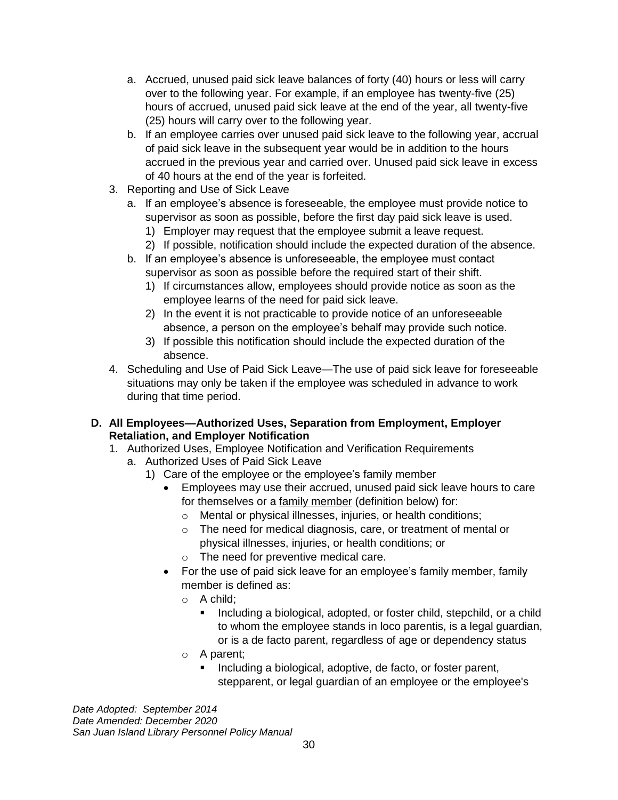- a. Accrued, unused paid sick leave balances of forty (40) hours or less will carry over to the following year. For example, if an employee has twenty-five (25) hours of accrued, unused paid sick leave at the end of the year, all twenty-five (25) hours will carry over to the following year.
- b. If an employee carries over unused paid sick leave to the following year, accrual of paid sick leave in the subsequent year would be in addition to the hours accrued in the previous year and carried over. Unused paid sick leave in excess of 40 hours at the end of the year is forfeited.
- 3. Reporting and Use of Sick Leave
	- a. If an employee's absence is foreseeable, the employee must provide notice to supervisor as soon as possible, before the first day paid sick leave is used.
		- 1) Employer may request that the employee submit a leave request.
		- 2) If possible, notification should include the expected duration of the absence.
	- b. If an employee's absence is unforeseeable, the employee must contact supervisor as soon as possible before the required start of their shift.
		- 1) If circumstances allow, employees should provide notice as soon as the employee learns of the need for paid sick leave.
		- 2) In the event it is not practicable to provide notice of an unforeseeable absence, a person on the employee's behalf may provide such notice.
		- 3) If possible this notification should include the expected duration of the absence.
- 4. Scheduling and Use of Paid Sick Leave—The use of paid sick leave for foreseeable situations may only be taken if the employee was scheduled in advance to work during that time period.
- **D. All Employees—Authorized Uses, Separation from Employment, Employer Retaliation, and Employer Notification**
	- 1. Authorized Uses, Employee Notification and Verification Requirements
		- a. Authorized Uses of Paid Sick Leave
			- 1) Care of the employee or the employee's family member
				- Employees may use their accrued, unused paid sick leave hours to care for themselves or a family member (definition below) for:
					- o Mental or physical illnesses, injuries, or health conditions;
					- o The need for medical diagnosis, care, or treatment of mental or physical illnesses, injuries, or health conditions; or
					- o The need for preventive medical care.
				- For the use of paid sick leave for an employee's family member, family member is defined as:
					- o A child;
						- Including a biological, adopted, or foster child, stepchild, or a child to whom the employee stands in loco parentis, is a legal guardian, or is a de facto parent, regardless of age or dependency status
					- o A parent;
						- Including a biological, adoptive, de facto, or foster parent, stepparent, or legal guardian of an employee or the employee's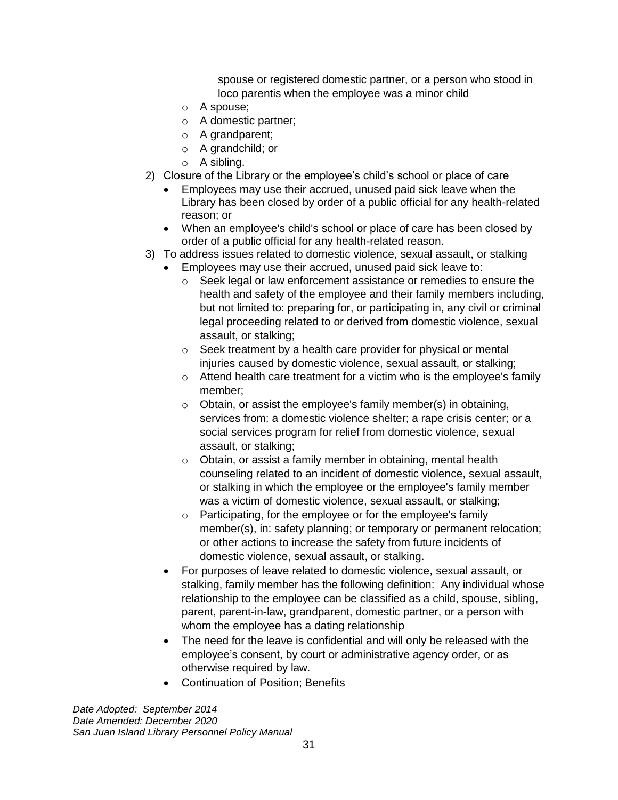spouse or registered domestic partner, or a person who stood in loco parentis when the employee was a minor child

- o A spouse;
- o A domestic partner;
- o A grandparent;
- o A grandchild; or
- o A sibling.
- 2) Closure of the Library or the employee's child's school or place of care
	- Employees may use their accrued, unused paid sick leave when the Library has been closed by order of a public official for any health-related reason; or
	- When an employee's child's school or place of care has been closed by order of a public official for any health-related reason.
- 3) To address issues related to domestic violence, sexual assault, or stalking
	- Employees may use their accrued, unused paid sick leave to:
		- o Seek legal or law enforcement assistance or remedies to ensure the health and safety of the employee and their family members including, but not limited to: preparing for, or participating in, any civil or criminal legal proceeding related to or derived from domestic violence, sexual assault, or stalking;
		- o Seek treatment by a health care provider for physical or mental injuries caused by domestic violence, sexual assault, or stalking;
		- o Attend health care treatment for a victim who is the employee's family member;
		- o Obtain, or assist the employee's family member(s) in obtaining, services from: a domestic violence shelter; a rape crisis center; or a social services program for relief from domestic violence, sexual assault, or stalking;
		- $\circ$  Obtain, or assist a family member in obtaining, mental health counseling related to an incident of domestic violence, sexual assault, or stalking in which the employee or the employee's family member was a victim of domestic violence, sexual assault, or stalking;
		- o Participating, for the employee or for the employee's family member(s), in: safety planning; or temporary or permanent relocation; or other actions to increase the safety from future incidents of domestic violence, sexual assault, or stalking.
	- For purposes of leave related to domestic violence, sexual assault, or stalking, family member has the following definition: Any individual whose relationship to the employee can be classified as a child, spouse, sibling, parent, parent-in-law, grandparent, domestic partner, or a person with whom the employee has a dating relationship
	- The need for the leave is confidential and will only be released with the employee's consent, by court or administrative agency order, or as otherwise required by law.
	- Continuation of Position; Benefits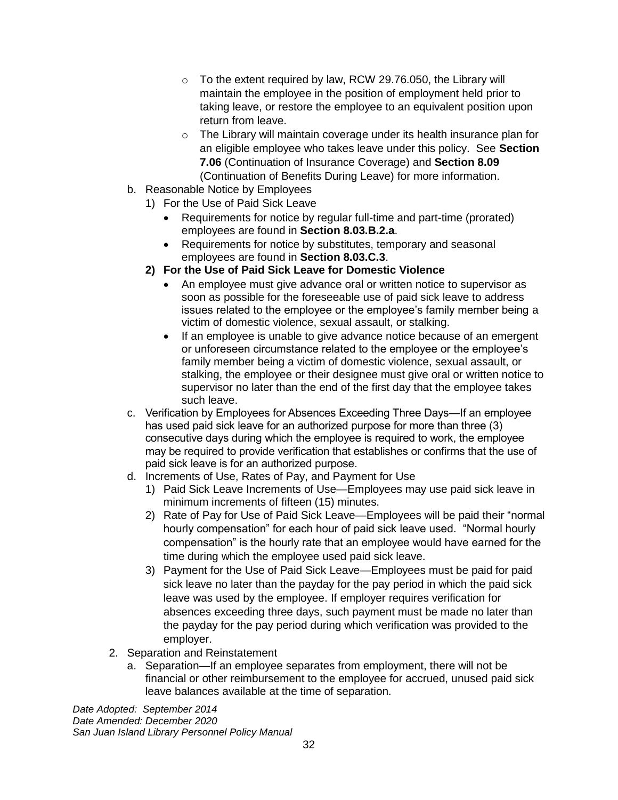- $\circ$  To the extent required by law, RCW 29.76.050, the Library will maintain the employee in the position of employment held prior to taking leave, or restore the employee to an equivalent position upon return from leave.
- o The Library will maintain coverage under its health insurance plan for an eligible employee who takes leave under this policy. See **Section 7.06** (Continuation of Insurance Coverage) and **Section 8.09** (Continuation of Benefits During Leave) for more information.
- b. Reasonable Notice by Employees
	- 1) For the Use of Paid Sick Leave
		- Requirements for notice by requiar full-time and part-time (prorated) employees are found in **Section 8.03.B.2.a**.
		- Requirements for notice by substitutes, temporary and seasonal employees are found in **Section 8.03.C.3**.
	- **2) For the Use of Paid Sick Leave for Domestic Violence**
		- An employee must give advance oral or written notice to supervisor as soon as possible for the foreseeable use of paid sick leave to address issues related to the employee or the employee's family member being a victim of domestic violence, sexual assault, or stalking.
		- If an employee is unable to give advance notice because of an emergent or unforeseen circumstance related to the employee or the employee's family member being a victim of domestic violence, sexual assault, or stalking, the employee or their designee must give oral or written notice to supervisor no later than the end of the first day that the employee takes such leave.
- c. Verification by Employees for Absences Exceeding Three Days—If an employee has used paid sick leave for an authorized purpose for more than three (3) consecutive days during which the employee is required to work, the employee may be required to provide verification that establishes or confirms that the use of paid sick leave is for an authorized purpose.
- d. Increments of Use, Rates of Pay, and Payment for Use
	- 1) Paid Sick Leave Increments of Use—Employees may use paid sick leave in minimum increments of fifteen (15) minutes.
	- 2) Rate of Pay for Use of Paid Sick Leave—Employees will be paid their "normal hourly compensation" for each hour of paid sick leave used. "Normal hourly compensation" is the hourly rate that an employee would have earned for the time during which the employee used paid sick leave.
	- 3) Payment for the Use of Paid Sick Leave—Employees must be paid for paid sick leave no later than the payday for the pay period in which the paid sick leave was used by the employee. If employer requires verification for absences exceeding three days, such payment must be made no later than the payday for the pay period during which verification was provided to the employer.
- 2. Separation and Reinstatement
	- a. Separation—If an employee separates from employment, there will not be financial or other reimbursement to the employee for accrued, unused paid sick leave balances available at the time of separation.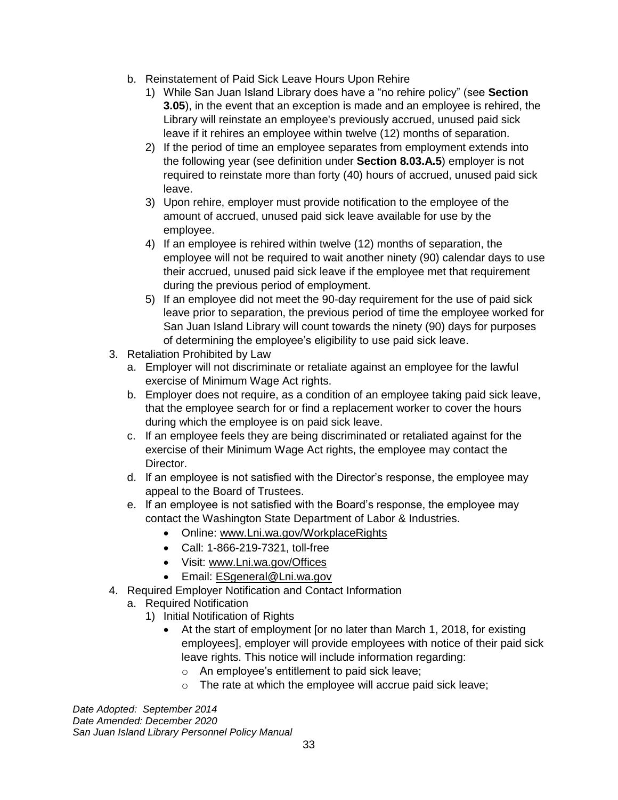- b. Reinstatement of Paid Sick Leave Hours Upon Rehire
	- 1) While San Juan Island Library does have a "no rehire policy" (see **Section 3.05**), in the event that an exception is made and an employee is rehired, the Library will reinstate an employee's previously accrued, unused paid sick leave if it rehires an employee within twelve (12) months of separation.
	- 2) If the period of time an employee separates from employment extends into the following year (see definition under **Section 8.03.A.5**) employer is not required to reinstate more than forty (40) hours of accrued, unused paid sick leave.
	- 3) Upon rehire, employer must provide notification to the employee of the amount of accrued, unused paid sick leave available for use by the employee.
	- 4) If an employee is rehired within twelve (12) months of separation, the employee will not be required to wait another ninety (90) calendar days to use their accrued, unused paid sick leave if the employee met that requirement during the previous period of employment.
	- 5) If an employee did not meet the 90-day requirement for the use of paid sick leave prior to separation, the previous period of time the employee worked for San Juan Island Library will count towards the ninety (90) days for purposes of determining the employee's eligibility to use paid sick leave.
- 3. Retaliation Prohibited by Law
	- a. Employer will not discriminate or retaliate against an employee for the lawful exercise of Minimum Wage Act rights.
	- b. Employer does not require, as a condition of an employee taking paid sick leave, that the employee search for or find a replacement worker to cover the hours during which the employee is on paid sick leave.
	- c. If an employee feels they are being discriminated or retaliated against for the exercise of their Minimum Wage Act rights, the employee may contact the Director.
	- d. If an employee is not satisfied with the Director's response, the employee may appeal to the Board of Trustees.
	- e. If an employee is not satisfied with the Board's response, the employee may contact the Washington State Department of Labor & Industries.
		- Online: [www.Lni.wa.gov/WorkplaceRights](http://www.lni.wa.gov/WorkplaceRights)
		- Call: 1-866-219-7321, toll-free
		- Visit: [www.Lni.wa.gov/Offices](http://www.lni.wa.gov/Offices)
		- Email: [ESgeneral@Lni.wa.gov](mailto:ESgeneral@Lni.wa.gov)
- 4. Required Employer Notification and Contact Information
	- a. Required Notification
		- 1) Initial Notification of Rights
			- At the start of employment [or no later than March 1, 2018, for existing employees], employer will provide employees with notice of their paid sick leave rights. This notice will include information regarding:
				- o An employee's entitlement to paid sick leave;
				- o The rate at which the employee will accrue paid sick leave;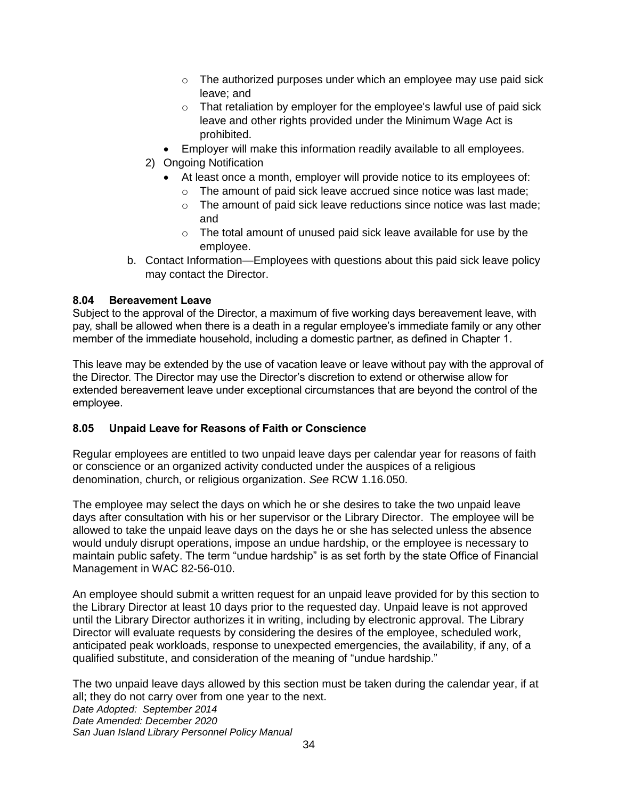- $\circ$  The authorized purposes under which an employee may use paid sick leave; and
- o That retaliation by employer for the employee's lawful use of paid sick leave and other rights provided under the Minimum Wage Act is prohibited.
- Employer will make this information readily available to all employees.
- 2) Ongoing Notification
	- At least once a month, employer will provide notice to its employees of:
		- o The amount of paid sick leave accrued since notice was last made;
		- o The amount of paid sick leave reductions since notice was last made; and
		- o The total amount of unused paid sick leave available for use by the employee.
- b. Contact Information—Employees with questions about this paid sick leave policy may contact the Director.

#### <span id="page-37-0"></span>**8.04 Bereavement Leave**

Subject to the approval of the Director, a maximum of five working days bereavement leave, with pay, shall be allowed when there is a death in a regular employee's immediate family or any other member of the immediate household, including a domestic partner, as defined in Chapter 1.

This leave may be extended by the use of vacation leave or leave without pay with the approval of the Director. The Director may use the Director's discretion to extend or otherwise allow for extended bereavement leave under exceptional circumstances that are beyond the control of the employee.

# <span id="page-37-1"></span>**8.05 Unpaid Leave for Reasons of Faith or Conscience**

Regular employees are entitled to two unpaid leave days per calendar year for reasons of faith or conscience or an organized activity conducted under the auspices of a religious denomination, church, or religious organization. *See* RCW 1.16.050.

The employee may select the days on which he or she desires to take the two unpaid leave days after consultation with his or her supervisor or the Library Director. The employee will be allowed to take the unpaid leave days on the days he or she has selected unless the absence would unduly disrupt operations, impose an undue hardship, or the employee is necessary to maintain public safety. The term "undue hardship" is as set forth by the state Office of Financial Management in WAC 82-56-010.

An employee should submit a written request for an unpaid leave provided for by this section to the Library Director at least 10 days prior to the requested day. Unpaid leave is not approved until the Library Director authorizes it in writing, including by electronic approval. The Library Director will evaluate requests by considering the desires of the employee, scheduled work, anticipated peak workloads, response to unexpected emergencies, the availability, if any, of a qualified substitute, and consideration of the meaning of "undue hardship."

*Date Adopted: September 2014 Date Amended: December 2020 San Juan Island Library Personnel Policy Manual* The two unpaid leave days allowed by this section must be taken during the calendar year, if at all; they do not carry over from one year to the next.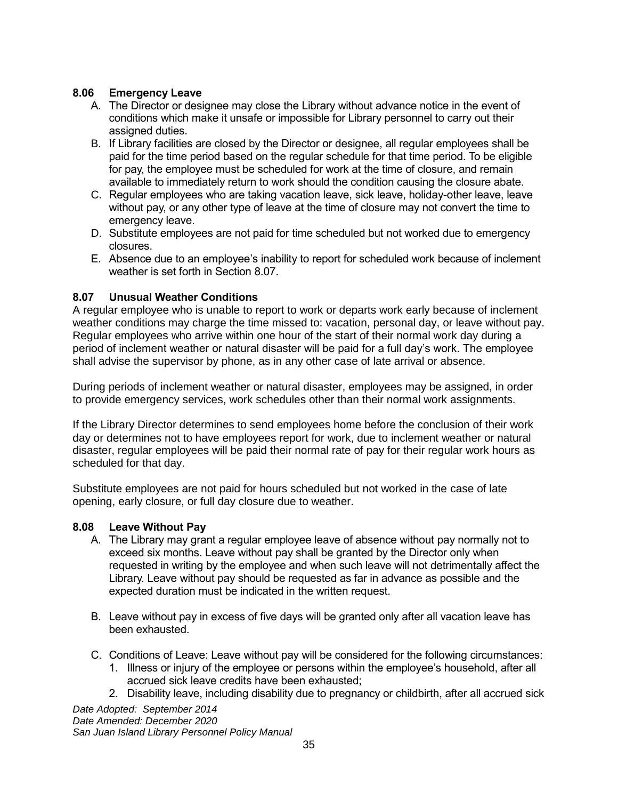# <span id="page-38-0"></span>**8.06 Emergency Leave**

- A. The Director or designee may close the Library without advance notice in the event of conditions which make it unsafe or impossible for Library personnel to carry out their assigned duties.
- B. If Library facilities are closed by the Director or designee, all regular employees shall be paid for the time period based on the regular schedule for that time period. To be eligible for pay, the employee must be scheduled for work at the time of closure, and remain available to immediately return to work should the condition causing the closure abate.
- C. Regular employees who are taking vacation leave, sick leave, holiday-other leave, leave without pay, or any other type of leave at the time of closure may not convert the time to emergency leave.
- D. Substitute employees are not paid for time scheduled but not worked due to emergency closures.
- E. Absence due to an employee's inability to report for scheduled work because of inclement weather is set forth in Section 8.07.

# <span id="page-38-1"></span>**8.07 Unusual Weather Conditions**

A regular employee who is unable to report to work or departs work early because of inclement weather conditions may charge the time missed to: vacation, personal day, or leave without pay. Regular employees who arrive within one hour of the start of their normal work day during a period of inclement weather or natural disaster will be paid for a full day's work. The employee shall advise the supervisor by phone, as in any other case of late arrival or absence.

During periods of inclement weather or natural disaster, employees may be assigned, in order to provide emergency services, work schedules other than their normal work assignments.

If the Library Director determines to send employees home before the conclusion of their work day or determines not to have employees report for work, due to inclement weather or natural disaster, regular employees will be paid their normal rate of pay for their regular work hours as scheduled for that day.

Substitute employees are not paid for hours scheduled but not worked in the case of late opening, early closure, or full day closure due to weather.

# <span id="page-38-2"></span>**8.08 Leave Without Pay**

- A. The Library may grant a regular employee leave of absence without pay normally not to exceed six months. Leave without pay shall be granted by the Director only when requested in writing by the employee and when such leave will not detrimentally affect the Library. Leave without pay should be requested as far in advance as possible and the expected duration must be indicated in the written request.
- B. Leave without pay in excess of five days will be granted only after all vacation leave has been exhausted.
- C. Conditions of Leave: Leave without pay will be considered for the following circumstances:
	- 1. Illness or injury of the employee or persons within the employee's household, after all accrued sick leave credits have been exhausted;
	- 2. Disability leave, including disability due to pregnancy or childbirth, after all accrued sick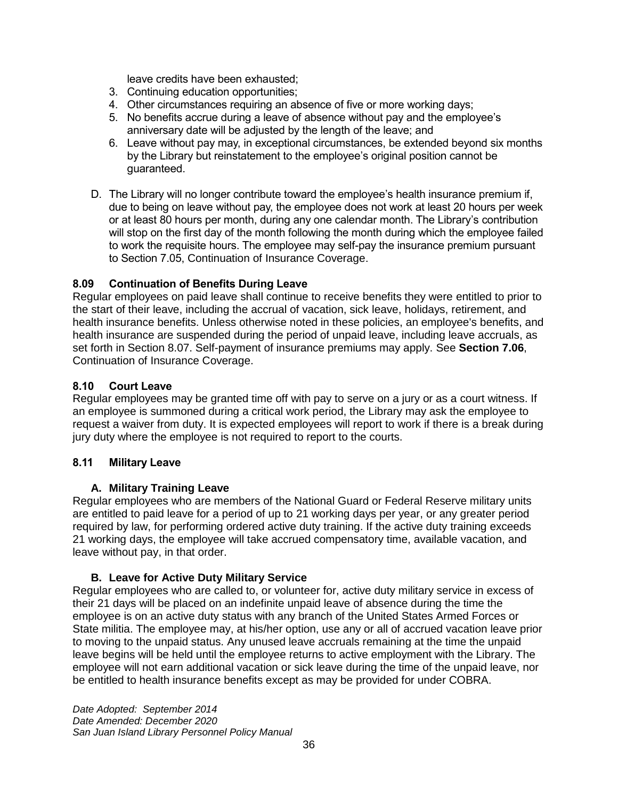leave credits have been exhausted;

- 3. Continuing education opportunities;
- 4. Other circumstances requiring an absence of five or more working days;
- 5. No benefits accrue during a leave of absence without pay and the employee's anniversary date will be adjusted by the length of the leave; and
- 6. Leave without pay may, in exceptional circumstances, be extended beyond six months by the Library but reinstatement to the employee's original position cannot be guaranteed.
- D. The Library will no longer contribute toward the employee's health insurance premium if, due to being on leave without pay, the employee does not work at least 20 hours per week or at least 80 hours per month, during any one calendar month. The Library's contribution will stop on the first day of the month following the month during which the employee failed to work the requisite hours. The employee may self-pay the insurance premium pursuant to Section 7.05, Continuation of Insurance Coverage.

# <span id="page-39-0"></span>**8.09 Continuation of Benefits During Leave**

Regular employees on paid leave shall continue to receive benefits they were entitled to prior to the start of their leave, including the accrual of vacation, sick leave, holidays, retirement, and health insurance benefits. Unless otherwise noted in these policies, an employee's benefits, and health insurance are suspended during the period of unpaid leave, including leave accruals, as set forth in Section 8.07. Self-payment of insurance premiums may apply. See **Section 7.06**, Continuation of Insurance Coverage.

# <span id="page-39-1"></span>**8.10 Court Leave**

Regular employees may be granted time off with pay to serve on a jury or as a court witness. If an employee is summoned during a critical work period, the Library may ask the employee to request a waiver from duty. It is expected employees will report to work if there is a break during jury duty where the employee is not required to report to the courts.

# <span id="page-39-2"></span>**8.11 Military Leave**

# **A. Military Training Leave**

Regular employees who are members of the National Guard or Federal Reserve military units are entitled to paid leave for a period of up to 21 working days per year, or any greater period required by law, for performing ordered active duty training. If the active duty training exceeds 21 working days, the employee will take accrued compensatory time, available vacation, and leave without pay, in that order.

# **B. Leave for Active Duty Military Service**

Regular employees who are called to, or volunteer for, active duty military service in excess of their 21 days will be placed on an indefinite unpaid leave of absence during the time the employee is on an active duty status with any branch of the United States Armed Forces or State militia. The employee may, at his/her option, use any or all of accrued vacation leave prior to moving to the unpaid status. Any unused leave accruals remaining at the time the unpaid leave begins will be held until the employee returns to active employment with the Library. The employee will not earn additional vacation or sick leave during the time of the unpaid leave, nor be entitled to health insurance benefits except as may be provided for under COBRA.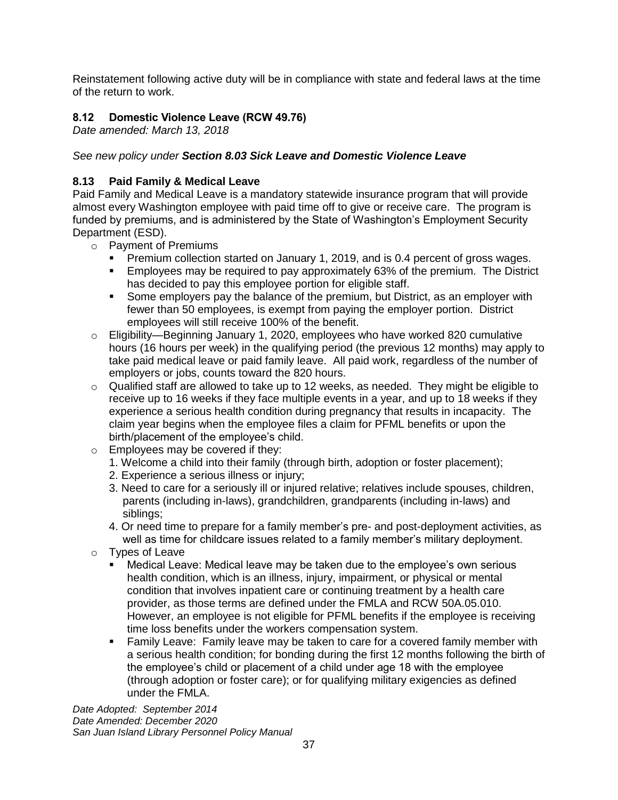Reinstatement following active duty will be in compliance with state and federal laws at the time of the return to work.

# <span id="page-40-0"></span>**8.12 Domestic Violence Leave (RCW 49.76)**

*Date amended: March 13, 2018*

# *See new policy under Section 8.03 Sick Leave and Domestic Violence Leave*

### **8.13 Paid Family & Medical Leave**

Paid Family and Medical Leave is a mandatory statewide insurance program that will provide almost every Washington employee with paid time off to give or receive care. The program is funded by premiums, and is administered by the State of Washington's Employment Security Department (ESD).

- o Payment of Premiums
	- **Premium collection started on January 1, 2019, and is 0.4 percent of gross wages.**
	- **Employees may be required to pay approximately 63% of the premium. The District** has decided to pay this employee portion for eligible staff.
	- Some employers pay the balance of the premium, but District, as an employer with fewer than 50 employees, is exempt from paying the employer portion. District employees will still receive 100% of the benefit.
- $\circ$  Eligibility—Beginning January 1, 2020, employees who have worked 820 cumulative hours (16 hours per week) in the qualifying period (the previous 12 months) may apply to take paid medical leave or paid family leave. All paid work, regardless of the number of employers or jobs, counts toward the 820 hours.
- $\circ$  Qualified staff are allowed to take up to 12 weeks, as needed. They might be eligible to receive up to 16 weeks if they face multiple events in a year, and up to 18 weeks if they experience a serious health condition during pregnancy that results in incapacity. The claim year begins when the employee files a claim for PFML benefits or upon the birth/placement of the employee's child.
- o Employees may be covered if they:
	- 1. Welcome a child into their family (through birth, adoption or foster placement);
	- 2. Experience a serious illness or injury;
	- 3. Need to care for a seriously ill or injured relative; relatives include spouses, children, parents (including in-laws), grandchildren, grandparents (including in-laws) and siblings;
	- 4. Or need time to prepare for a family member's pre- and post-deployment activities, as well as time for childcare issues related to a family member's military deployment.
- o Types of Leave
	- Medical Leave: Medical leave may be taken due to the employee's own serious health condition, which is an illness, injury, impairment, or physical or mental condition that involves inpatient care or continuing treatment by a health care provider, as those terms are defined under the FMLA and RCW 50A.05.010. However, an employee is not eligible for PFML benefits if the employee is receiving time loss benefits under the workers compensation system.
	- **EXECT** Family Leave: Family leave may be taken to care for a covered family member with a serious health condition; for bonding during the first 12 months following the birth of the employee's child or placement of a child under age 18 with the employee (through adoption or foster care); or for qualifying military exigencies as defined under the FMLA.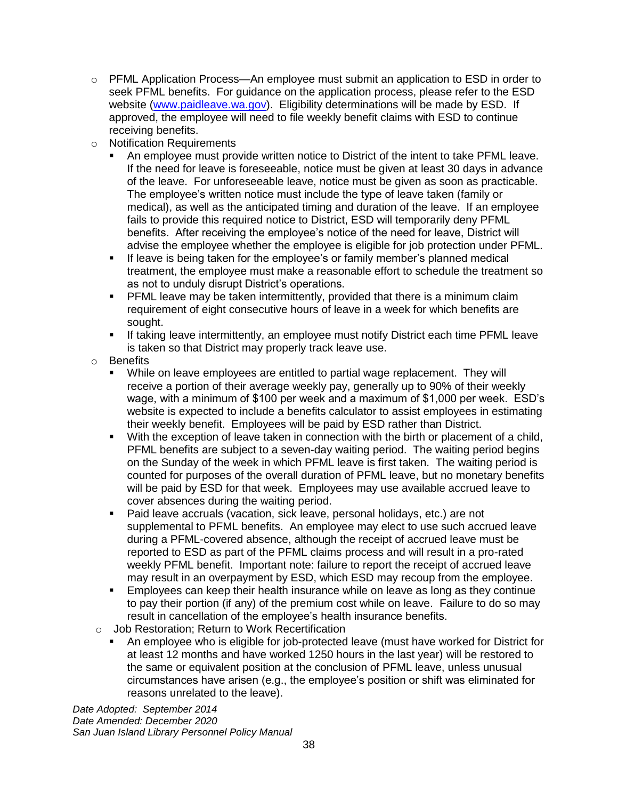- o PFML Application Process—An employee must submit an application to ESD in order to seek PFML benefits. For guidance on the application process, please refer to the ESD website [\(www.paidleave.wa.gov\)](about:blank). Eligibility determinations will be made by ESD. If approved, the employee will need to file weekly benefit claims with ESD to continue receiving benefits.
- o Notification Requirements
	- An employee must provide written notice to District of the intent to take PFML leave. If the need for leave is foreseeable, notice must be given at least 30 days in advance of the leave. For unforeseeable leave, notice must be given as soon as practicable. The employee's written notice must include the type of leave taken (family or medical), as well as the anticipated timing and duration of the leave. If an employee fails to provide this required notice to District, ESD will temporarily deny PFML benefits. After receiving the employee's notice of the need for leave, District will advise the employee whether the employee is eligible for job protection under PFML.
	- **■** If leave is being taken for the employee's or family member's planned medical treatment, the employee must make a reasonable effort to schedule the treatment so as not to unduly disrupt District's operations.
	- **PFML leave may be taken intermittently, provided that there is a minimum claim** requirement of eight consecutive hours of leave in a week for which benefits are sought.
	- **•** If taking leave intermittently, an employee must notify District each time PFML leave is taken so that District may properly track leave use.
- o Benefits
	- While on leave employees are entitled to partial wage replacement. They will receive a portion of their average weekly pay, generally up to 90% of their weekly wage, with a minimum of \$100 per week and a maximum of \$1,000 per week. ESD's website is expected to include a benefits calculator to assist employees in estimating their weekly benefit. Employees will be paid by ESD rather than District.
	- With the exception of leave taken in connection with the birth or placement of a child, PFML benefits are subject to a seven-day waiting period. The waiting period begins on the Sunday of the week in which PFML leave is first taken. The waiting period is counted for purposes of the overall duration of PFML leave, but no monetary benefits will be paid by ESD for that week. Employees may use available accrued leave to cover absences during the waiting period.
	- Paid leave accruals (vacation, sick leave, personal holidays, etc.) are not supplemental to PFML benefits. An employee may elect to use such accrued leave during a PFML-covered absence, although the receipt of accrued leave must be reported to ESD as part of the PFML claims process and will result in a pro-rated weekly PFML benefit. Important note: failure to report the receipt of accrued leave may result in an overpayment by ESD, which ESD may recoup from the employee.
	- Employees can keep their health insurance while on leave as long as they continue to pay their portion (if any) of the premium cost while on leave. Failure to do so may result in cancellation of the employee's health insurance benefits.
- o Job Restoration; Return to Work Recertification
	- An employee who is eligible for job-protected leave (must have worked for District for at least 12 months and have worked 1250 hours in the last year) will be restored to the same or equivalent position at the conclusion of PFML leave, unless unusual circumstances have arisen (e.g., the employee's position or shift was eliminated for reasons unrelated to the leave).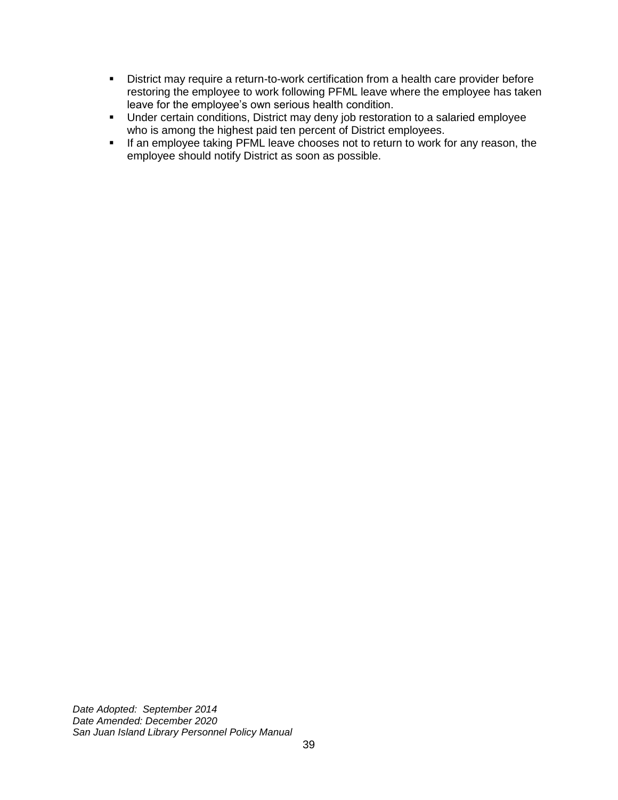- **EXED** District may require a return-to-work certification from a health care provider before restoring the employee to work following PFML leave where the employee has taken leave for the employee's own serious health condition.
- Under certain conditions, District may deny job restoration to a salaried employee who is among the highest paid ten percent of District employees.
- **EXECT** If an employee taking PFML leave chooses not to return to work for any reason, the employee should notify District as soon as possible.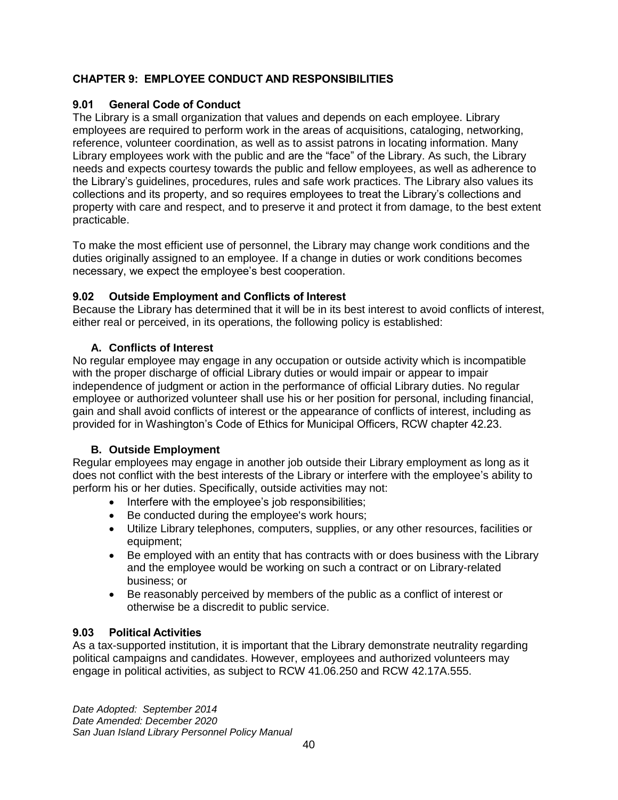# <span id="page-43-0"></span>**CHAPTER 9: EMPLOYEE CONDUCT AND RESPONSIBILITIES**

# <span id="page-43-1"></span>**9.01 General Code of Conduct**

The Library is a small organization that values and depends on each employee. Library employees are required to perform work in the areas of acquisitions, cataloging, networking, reference, volunteer coordination, as well as to assist patrons in locating information. Many Library employees work with the public and are the "face" of the Library. As such, the Library needs and expects courtesy towards the public and fellow employees, as well as adherence to the Library's guidelines, procedures, rules and safe work practices. The Library also values its collections and its property, and so requires employees to treat the Library's collections and property with care and respect, and to preserve it and protect it from damage, to the best extent practicable.

To make the most efficient use of personnel, the Library may change work conditions and the duties originally assigned to an employee. If a change in duties or work conditions becomes necessary, we expect the employee's best cooperation.

# <span id="page-43-2"></span>**9.02 Outside Employment and Conflicts of Interest**

Because the Library has determined that it will be in its best interest to avoid conflicts of interest, either real or perceived, in its operations, the following policy is established:

# **A. Conflicts of Interest**

No regular employee may engage in any occupation or outside activity which is incompatible with the proper discharge of official Library duties or would impair or appear to impair independence of judgment or action in the performance of official Library duties. No regular employee or authorized volunteer shall use his or her position for personal, including financial, gain and shall avoid conflicts of interest or the appearance of conflicts of interest, including as provided for in Washington's Code of Ethics for Municipal Officers, RCW chapter 42.23.

# **B. Outside Employment**

Regular employees may engage in another job outside their Library employment as long as it does not conflict with the best interests of the Library or interfere with the employee's ability to perform his or her duties. Specifically, outside activities may not:

- Interfere with the employee's job responsibilities;
- Be conducted during the employee's work hours;
- Utilize Library telephones, computers, supplies, or any other resources, facilities or equipment;
- Be employed with an entity that has contracts with or does business with the Library and the employee would be working on such a contract or on Library-related business; or
- Be reasonably perceived by members of the public as a conflict of interest or otherwise be a discredit to public service.

# <span id="page-43-3"></span>**9.03 Political Activities**

As a tax-supported institution, it is important that the Library demonstrate neutrality regarding political campaigns and candidates. However, employees and authorized volunteers may engage in political activities, as subject to RCW 41.06.250 and RCW 42.17A.555.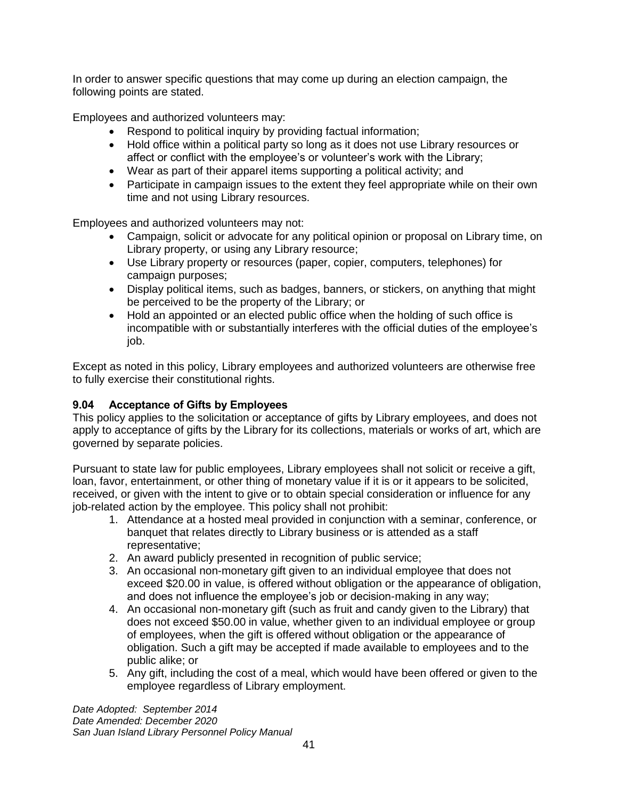In order to answer specific questions that may come up during an election campaign, the following points are stated.

Employees and authorized volunteers may:

- Respond to political inquiry by providing factual information;
- Hold office within a political party so long as it does not use Library resources or affect or conflict with the employee's or volunteer's work with the Library;
- Wear as part of their apparel items supporting a political activity; and
- Participate in campaign issues to the extent they feel appropriate while on their own time and not using Library resources.

Employees and authorized volunteers may not:

- Campaign, solicit or advocate for any political opinion or proposal on Library time, on Library property, or using any Library resource;
- Use Library property or resources (paper, copier, computers, telephones) for campaign purposes;
- Display political items, such as badges, banners, or stickers, on anything that might be perceived to be the property of the Library; or
- Hold an appointed or an elected public office when the holding of such office is incompatible with or substantially interferes with the official duties of the employee's job.

Except as noted in this policy, Library employees and authorized volunteers are otherwise free to fully exercise their constitutional rights.

# <span id="page-44-0"></span>**9.04 Acceptance of Gifts by Employees**

This policy applies to the solicitation or acceptance of gifts by Library employees, and does not apply to acceptance of gifts by the Library for its collections, materials or works of art, which are governed by separate policies.

Pursuant to state law for public employees, Library employees shall not solicit or receive a gift, loan, favor, entertainment, or other thing of monetary value if it is or it appears to be solicited, received, or given with the intent to give or to obtain special consideration or influence for any job-related action by the employee. This policy shall not prohibit:

- 1. Attendance at a hosted meal provided in conjunction with a seminar, conference, or banquet that relates directly to Library business or is attended as a staff representative;
- 2. An award publicly presented in recognition of public service;
- 3. An occasional non-monetary gift given to an individual employee that does not exceed \$20.00 in value, is offered without obligation or the appearance of obligation, and does not influence the employee's job or decision-making in any way;
- 4. An occasional non-monetary gift (such as fruit and candy given to the Library) that does not exceed \$50.00 in value, whether given to an individual employee or group of employees, when the gift is offered without obligation or the appearance of obligation. Such a gift may be accepted if made available to employees and to the public alike; or
- 5. Any gift, including the cost of a meal, which would have been offered or given to the employee regardless of Library employment.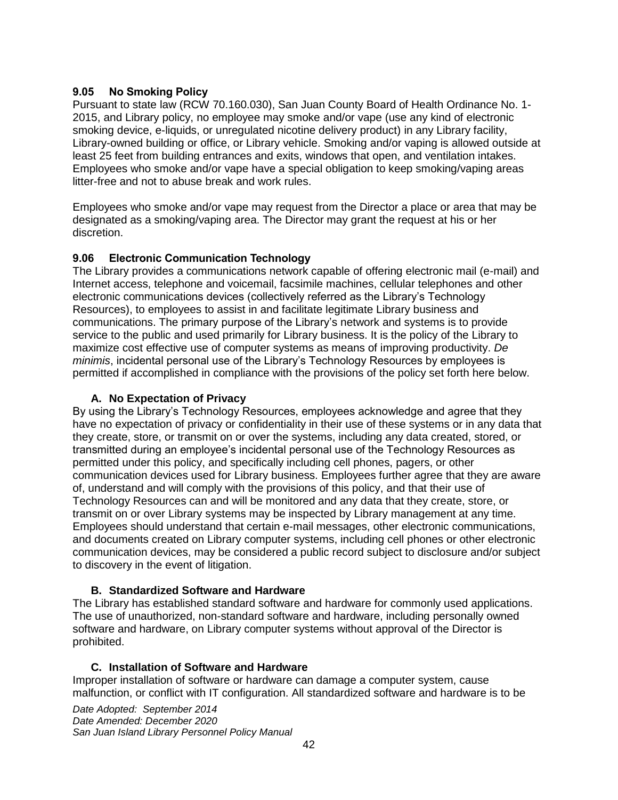# <span id="page-45-0"></span>**9.05 No Smoking Policy**

Pursuant to state law (RCW 70.160.030), San Juan County Board of Health Ordinance No. 1- 2015, and Library policy, no employee may smoke and/or vape (use any kind of electronic smoking device, e-liquids, or unregulated nicotine delivery product) in any Library facility, Library-owned building or office, or Library vehicle. Smoking and/or vaping is allowed outside at least 25 feet from building entrances and exits, windows that open, and ventilation intakes. Employees who smoke and/or vape have a special obligation to keep smoking/vaping areas litter-free and not to abuse break and work rules.

Employees who smoke and/or vape may request from the Director a place or area that may be designated as a smoking/vaping area. The Director may grant the request at his or her discretion.

# <span id="page-45-1"></span>**9.06 Electronic Communication Technology**

The Library provides a communications network capable of offering electronic mail (e-mail) and Internet access, telephone and voicemail, facsimile machines, cellular telephones and other electronic communications devices (collectively referred as the Library's Technology Resources), to employees to assist in and facilitate legitimate Library business and communications. The primary purpose of the Library's network and systems is to provide service to the public and used primarily for Library business. It is the policy of the Library to maximize cost effective use of computer systems as means of improving productivity. *De minimis*, incidental personal use of the Library's Technology Resources by employees is permitted if accomplished in compliance with the provisions of the policy set forth here below.

# **A. No Expectation of Privacy**

By using the Library's Technology Resources, employees acknowledge and agree that they have no expectation of privacy or confidentiality in their use of these systems or in any data that they create, store, or transmit on or over the systems, including any data created, stored, or transmitted during an employee's incidental personal use of the Technology Resources as permitted under this policy, and specifically including cell phones, pagers, or other communication devices used for Library business. Employees further agree that they are aware of, understand and will comply with the provisions of this policy, and that their use of Technology Resources can and will be monitored and any data that they create, store, or transmit on or over Library systems may be inspected by Library management at any time. Employees should understand that certain e-mail messages, other electronic communications, and documents created on Library computer systems, including cell phones or other electronic communication devices, may be considered a public record subject to disclosure and/or subject to discovery in the event of litigation.

# **B. Standardized Software and Hardware**

The Library has established standard software and hardware for commonly used applications. The use of unauthorized, non-standard software and hardware, including personally owned software and hardware, on Library computer systems without approval of the Director is prohibited.

# **C. Installation of Software and Hardware**

Improper installation of software or hardware can damage a computer system, cause malfunction, or conflict with IT configuration. All standardized software and hardware is to be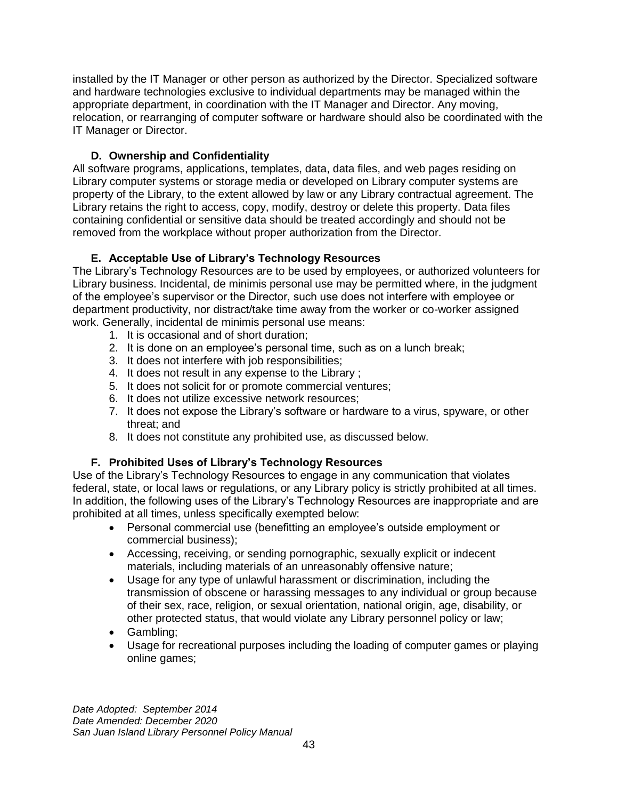installed by the IT Manager or other person as authorized by the Director. Specialized software and hardware technologies exclusive to individual departments may be managed within the appropriate department, in coordination with the IT Manager and Director. Any moving, relocation, or rearranging of computer software or hardware should also be coordinated with the IT Manager or Director.

# **D. Ownership and Confidentiality**

All software programs, applications, templates, data, data files, and web pages residing on Library computer systems or storage media or developed on Library computer systems are property of the Library, to the extent allowed by law or any Library contractual agreement. The Library retains the right to access, copy, modify, destroy or delete this property. Data files containing confidential or sensitive data should be treated accordingly and should not be removed from the workplace without proper authorization from the Director.

# **E. Acceptable Use of Library's Technology Resources**

The Library's Technology Resources are to be used by employees, or authorized volunteers for Library business. Incidental, de minimis personal use may be permitted where, in the judgment of the employee's supervisor or the Director, such use does not interfere with employee or department productivity, nor distract/take time away from the worker or co-worker assigned work. Generally, incidental de minimis personal use means:

- 1. It is occasional and of short duration;
- 2. It is done on an employee's personal time, such as on a lunch break;
- 3. It does not interfere with job responsibilities;
- 4. It does not result in any expense to the Library ;
- 5. It does not solicit for or promote commercial ventures;
- 6. It does not utilize excessive network resources;
- 7. It does not expose the Library's software or hardware to a virus, spyware, or other threat; and
- 8. It does not constitute any prohibited use, as discussed below.

# **F. Prohibited Uses of Library's Technology Resources**

Use of the Library's Technology Resources to engage in any communication that violates federal, state, or local laws or regulations, or any Library policy is strictly prohibited at all times. In addition, the following uses of the Library's Technology Resources are inappropriate and are prohibited at all times, unless specifically exempted below:

- Personal commercial use (benefitting an employee's outside employment or commercial business);
- Accessing, receiving, or sending pornographic, sexually explicit or indecent materials, including materials of an unreasonably offensive nature;
- Usage for any type of unlawful harassment or discrimination, including the transmission of obscene or harassing messages to any individual or group because of their sex, race, religion, or sexual orientation, national origin, age, disability, or other protected status, that would violate any Library personnel policy or law;
- Gambling;
- Usage for recreational purposes including the loading of computer games or playing online games;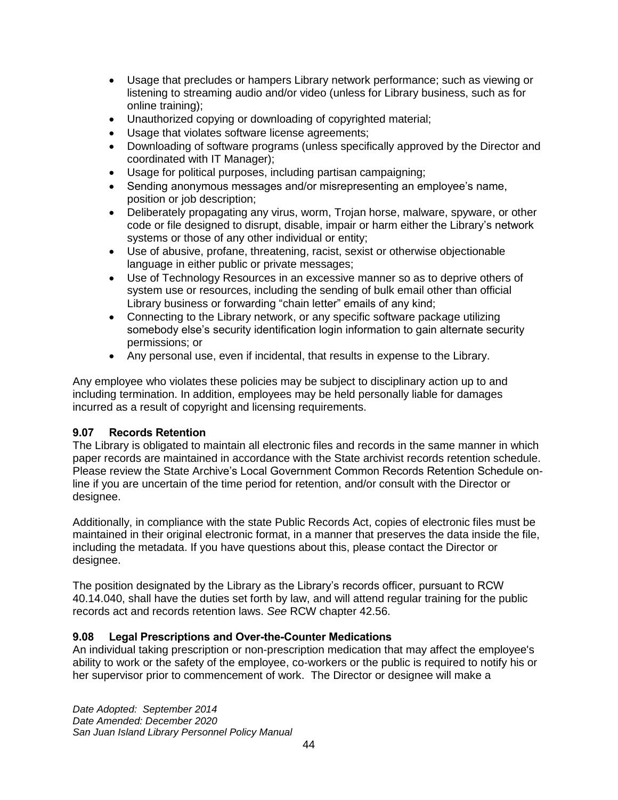- Usage that precludes or hampers Library network performance; such as viewing or listening to streaming audio and/or video (unless for Library business, such as for online training);
- Unauthorized copying or downloading of copyrighted material;
- Usage that violates software license agreements;
- Downloading of software programs (unless specifically approved by the Director and coordinated with IT Manager);
- Usage for political purposes, including partisan campaigning;
- Sending anonymous messages and/or misrepresenting an employee's name, position or job description;
- Deliberately propagating any virus, worm, Trojan horse, malware, spyware, or other code or file designed to disrupt, disable, impair or harm either the Library's network systems or those of any other individual or entity;
- Use of abusive, profane, threatening, racist, sexist or otherwise objectionable language in either public or private messages;
- Use of Technology Resources in an excessive manner so as to deprive others of system use or resources, including the sending of bulk email other than official Library business or forwarding "chain letter" emails of any kind;
- Connecting to the Library network, or any specific software package utilizing somebody else's security identification login information to gain alternate security permissions; or
- Any personal use, even if incidental, that results in expense to the Library.

Any employee who violates these policies may be subject to disciplinary action up to and including termination. In addition, employees may be held personally liable for damages incurred as a result of copyright and licensing requirements.

# <span id="page-47-0"></span>**9.07 Records Retention**

The Library is obligated to maintain all electronic files and records in the same manner in which paper records are maintained in accordance with the State archivist records retention schedule. Please review the State Archive's Local Government Common Records Retention Schedule online if you are uncertain of the time period for retention, and/or consult with the Director or designee.

Additionally, in compliance with the state Public Records Act, copies of electronic files must be maintained in their original electronic format, in a manner that preserves the data inside the file, including the metadata. If you have questions about this, please contact the Director or designee.

The position designated by the Library as the Library's records officer, pursuant to RCW 40.14.040, shall have the duties set forth by law, and will attend regular training for the public records act and records retention laws. *See* RCW chapter 42.56.

# <span id="page-47-1"></span>**9.08 Legal Prescriptions and Over-the-Counter Medications**

An individual taking prescription or non-prescription medication that may affect the employee's ability to work or the safety of the employee, co-workers or the public is required to notify his or her supervisor prior to commencement of work. The Director or designee will make a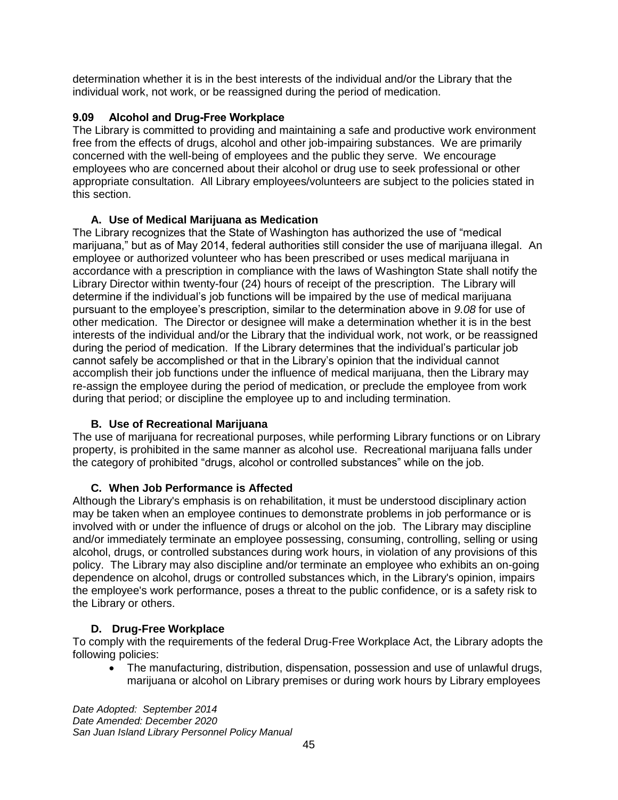determination whether it is in the best interests of the individual and/or the Library that the individual work, not work, or be reassigned during the period of medication.

# <span id="page-48-0"></span>**9.09 Alcohol and Drug-Free Workplace**

The Library is committed to providing and maintaining a safe and productive work environment free from the effects of drugs, alcohol and other job-impairing substances. We are primarily concerned with the well-being of employees and the public they serve. We encourage employees who are concerned about their alcohol or drug use to seek professional or other appropriate consultation. All Library employees/volunteers are subject to the policies stated in this section.

# **A. Use of Medical Marijuana as Medication**

The Library recognizes that the State of Washington has authorized the use of "medical marijuana," but as of May 2014, federal authorities still consider the use of marijuana illegal. An employee or authorized volunteer who has been prescribed or uses medical marijuana in accordance with a prescription in compliance with the laws of Washington State shall notify the Library Director within twenty-four (24) hours of receipt of the prescription. The Library will determine if the individual's job functions will be impaired by the use of medical marijuana pursuant to the employee's prescription, similar to the determination above in *9.08* for use of other medication. The Director or designee will make a determination whether it is in the best interests of the individual and/or the Library that the individual work, not work, or be reassigned during the period of medication. If the Library determines that the individual's particular job cannot safely be accomplished or that in the Library's opinion that the individual cannot accomplish their job functions under the influence of medical marijuana, then the Library may re-assign the employee during the period of medication, or preclude the employee from work during that period; or discipline the employee up to and including termination.

# **B. Use of Recreational Marijuana**

The use of marijuana for recreational purposes, while performing Library functions or on Library property, is prohibited in the same manner as alcohol use. Recreational marijuana falls under the category of prohibited "drugs, alcohol or controlled substances" while on the job.

# **C. When Job Performance is Affected**

Although the Library's emphasis is on rehabilitation, it must be understood disciplinary action may be taken when an employee continues to demonstrate problems in job performance or is involved with or under the influence of drugs or alcohol on the job. The Library may discipline and/or immediately terminate an employee possessing, consuming, controlling, selling or using alcohol, drugs, or controlled substances during work hours, in violation of any provisions of this policy. The Library may also discipline and/or terminate an employee who exhibits an on-going dependence on alcohol, drugs or controlled substances which, in the Library's opinion, impairs the employee's work performance, poses a threat to the public confidence, or is a safety risk to the Library or others.

# **D. Drug-Free Workplace**

To comply with the requirements of the federal Drug-Free Workplace Act, the Library adopts the following policies:

• The manufacturing, distribution, dispensation, possession and use of unlawful drugs, marijuana or alcohol on Library premises or during work hours by Library employees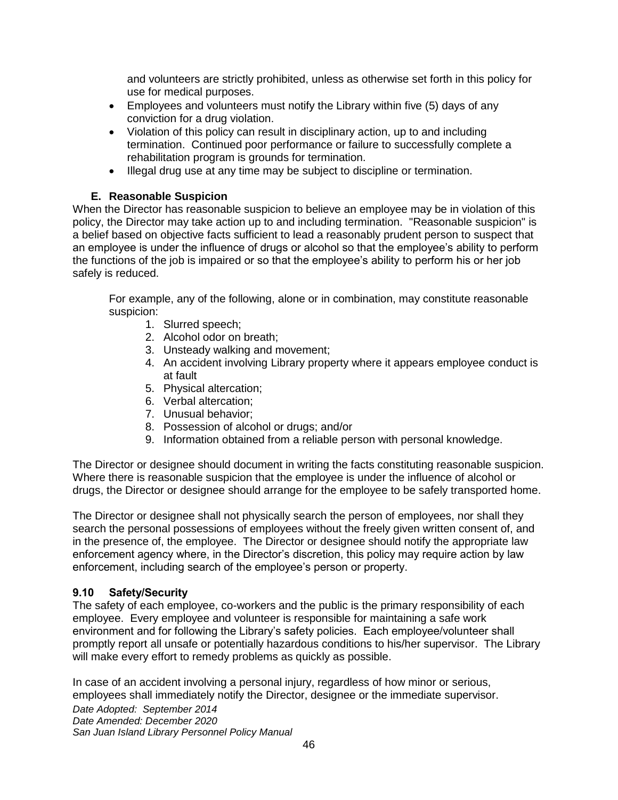and volunteers are strictly prohibited, unless as otherwise set forth in this policy for use for medical purposes.

- Employees and volunteers must notify the Library within five (5) days of any conviction for a drug violation.
- Violation of this policy can result in disciplinary action, up to and including termination. Continued poor performance or failure to successfully complete a rehabilitation program is grounds for termination.
- Illegal drug use at any time may be subject to discipline or termination.

# **E. Reasonable Suspicion**

When the Director has reasonable suspicion to believe an employee may be in violation of this policy, the Director may take action up to and including termination. "Reasonable suspicion" is a belief based on objective facts sufficient to lead a reasonably prudent person to suspect that an employee is under the influence of drugs or alcohol so that the employee's ability to perform the functions of the job is impaired or so that the employee's ability to perform his or her job safely is reduced.

For example, any of the following, alone or in combination, may constitute reasonable suspicion:

- 1. Slurred speech;
- 2. Alcohol odor on breath;
- 3. Unsteady walking and movement;
- 4. An accident involving Library property where it appears employee conduct is at fault
- 5. Physical altercation;
- 6. Verbal altercation;
- 7. Unusual behavior;
- 8. Possession of alcohol or drugs; and/or
- 9. Information obtained from a reliable person with personal knowledge.

The Director or designee should document in writing the facts constituting reasonable suspicion. Where there is reasonable suspicion that the employee is under the influence of alcohol or drugs, the Director or designee should arrange for the employee to be safely transported home.

The Director or designee shall not physically search the person of employees, nor shall they search the personal possessions of employees without the freely given written consent of, and in the presence of, the employee. The Director or designee should notify the appropriate law enforcement agency where, in the Director's discretion, this policy may require action by law enforcement, including search of the employee's person or property.

# <span id="page-49-0"></span>**9.10 Safety/Security**

The safety of each employee, co-workers and the public is the primary responsibility of each employee. Every employee and volunteer is responsible for maintaining a safe work environment and for following the Library's safety policies. Each employee/volunteer shall promptly report all unsafe or potentially hazardous conditions to his/her supervisor. The Library will make every effort to remedy problems as quickly as possible.

In case of an accident involving a personal injury, regardless of how minor or serious, employees shall immediately notify the Director, designee or the immediate supervisor.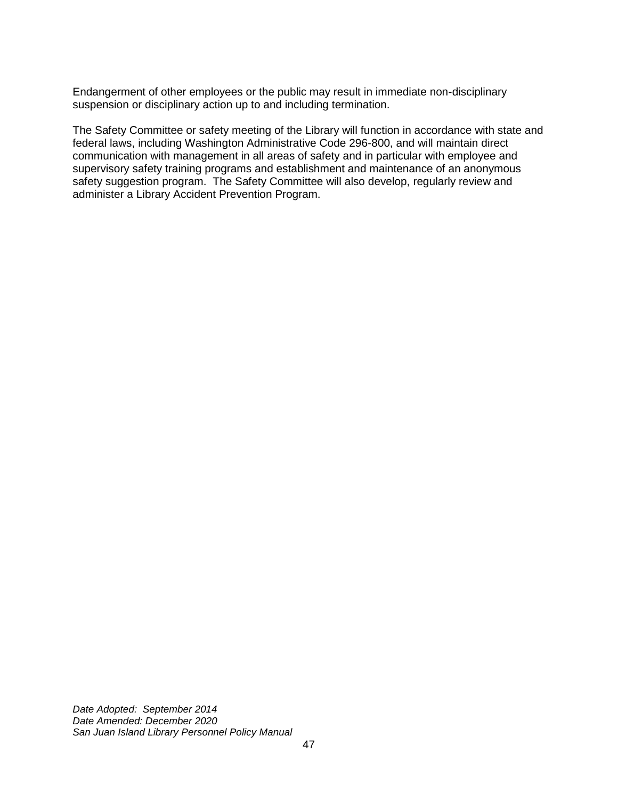Endangerment of other employees or the public may result in immediate non-disciplinary suspension or disciplinary action up to and including termination.

The Safety Committee or safety meeting of the Library will function in accordance with state and federal laws, including Washington Administrative Code 296-800, and will maintain direct communication with management in all areas of safety and in particular with employee and supervisory safety training programs and establishment and maintenance of an anonymous safety suggestion program. The Safety Committee will also develop, regularly review and administer a Library Accident Prevention Program.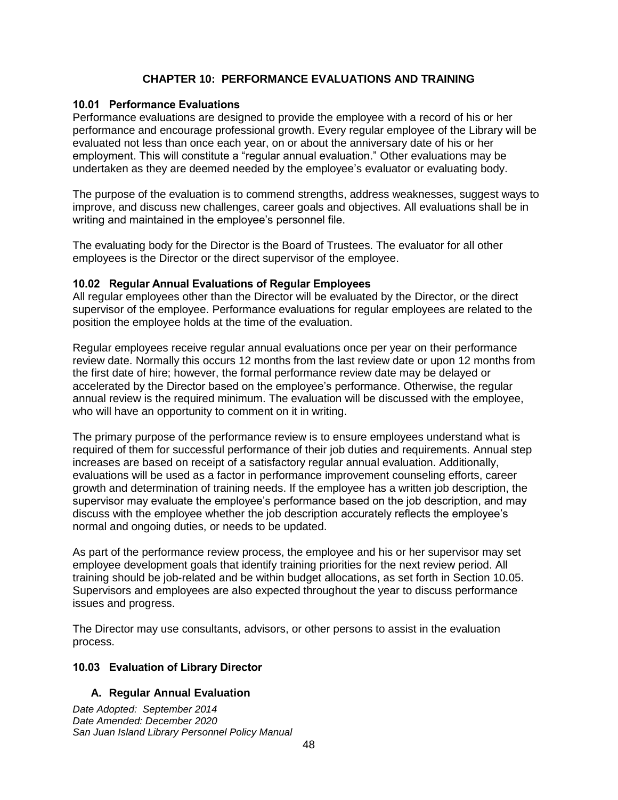# **CHAPTER 10: PERFORMANCE EVALUATIONS AND TRAINING**

#### <span id="page-51-1"></span><span id="page-51-0"></span>**10.01 Performance Evaluations**

Performance evaluations are designed to provide the employee with a record of his or her performance and encourage professional growth. Every regular employee of the Library will be evaluated not less than once each year, on or about the anniversary date of his or her employment. This will constitute a "regular annual evaluation." Other evaluations may be undertaken as they are deemed needed by the employee's evaluator or evaluating body.

The purpose of the evaluation is to commend strengths, address weaknesses, suggest ways to improve, and discuss new challenges, career goals and objectives. All evaluations shall be in writing and maintained in the employee's personnel file.

The evaluating body for the Director is the Board of Trustees. The evaluator for all other employees is the Director or the direct supervisor of the employee.

#### <span id="page-51-2"></span>**10.02 Regular Annual Evaluations of Regular Employees**

All regular employees other than the Director will be evaluated by the Director, or the direct supervisor of the employee. Performance evaluations for regular employees are related to the position the employee holds at the time of the evaluation.

Regular employees receive regular annual evaluations once per year on their performance review date. Normally this occurs 12 months from the last review date or upon 12 months from the first date of hire; however, the formal performance review date may be delayed or accelerated by the Director based on the employee's performance. Otherwise, the regular annual review is the required minimum. The evaluation will be discussed with the employee, who will have an opportunity to comment on it in writing.

The primary purpose of the performance review is to ensure employees understand what is required of them for successful performance of their job duties and requirements. Annual step increases are based on receipt of a satisfactory regular annual evaluation. Additionally, evaluations will be used as a factor in performance improvement counseling efforts, career growth and determination of training needs. If the employee has a written job description, the supervisor may evaluate the employee's performance based on the job description, and may discuss with the employee whether the job description accurately reflects the employee's normal and ongoing duties, or needs to be updated.

As part of the performance review process, the employee and his or her supervisor may set employee development goals that identify training priorities for the next review period. All training should be job-related and be within budget allocations, as set forth in Section 10.05. Supervisors and employees are also expected throughout the year to discuss performance issues and progress.

The Director may use consultants, advisors, or other persons to assist in the evaluation process.

# <span id="page-51-3"></span>**10.03 Evaluation of Library Director**

# **A. Regular Annual Evaluation**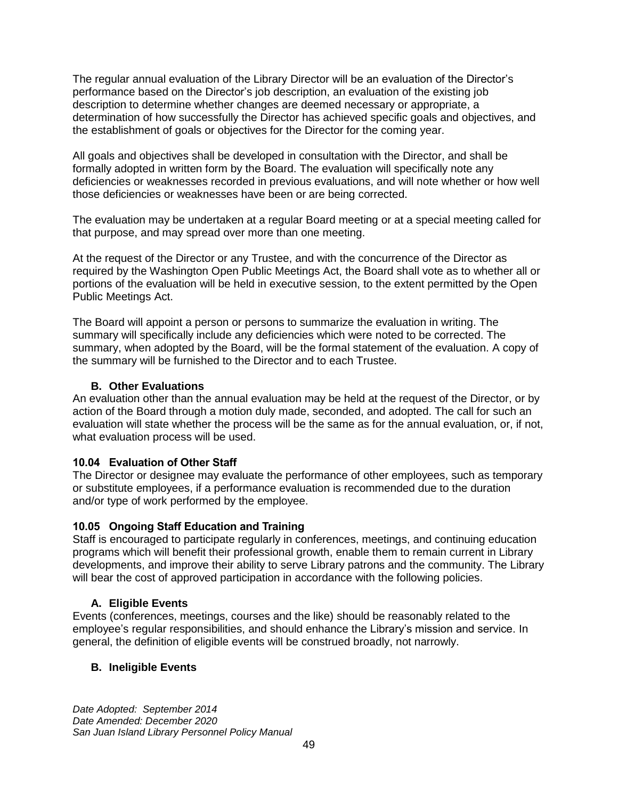The regular annual evaluation of the Library Director will be an evaluation of the Director's performance based on the Director's job description, an evaluation of the existing job description to determine whether changes are deemed necessary or appropriate, a determination of how successfully the Director has achieved specific goals and objectives, and the establishment of goals or objectives for the Director for the coming year.

All goals and objectives shall be developed in consultation with the Director, and shall be formally adopted in written form by the Board. The evaluation will specifically note any deficiencies or weaknesses recorded in previous evaluations, and will note whether or how well those deficiencies or weaknesses have been or are being corrected.

The evaluation may be undertaken at a regular Board meeting or at a special meeting called for that purpose, and may spread over more than one meeting.

At the request of the Director or any Trustee, and with the concurrence of the Director as required by the Washington Open Public Meetings Act, the Board shall vote as to whether all or portions of the evaluation will be held in executive session, to the extent permitted by the Open Public Meetings Act.

The Board will appoint a person or persons to summarize the evaluation in writing. The summary will specifically include any deficiencies which were noted to be corrected. The summary, when adopted by the Board, will be the formal statement of the evaluation. A copy of the summary will be furnished to the Director and to each Trustee.

# **B. Other Evaluations**

An evaluation other than the annual evaluation may be held at the request of the Director, or by action of the Board through a motion duly made, seconded, and adopted. The call for such an evaluation will state whether the process will be the same as for the annual evaluation, or, if not, what evaluation process will be used.

#### <span id="page-52-0"></span>**10.04 Evaluation of Other Staff**

The Director or designee may evaluate the performance of other employees, such as temporary or substitute employees, if a performance evaluation is recommended due to the duration and/or type of work performed by the employee.

#### <span id="page-52-1"></span>**10.05 Ongoing Staff Education and Training**

Staff is encouraged to participate regularly in conferences, meetings, and continuing education programs which will benefit their professional growth, enable them to remain current in Library developments, and improve their ability to serve Library patrons and the community. The Library will bear the cost of approved participation in accordance with the following policies.

#### **A. Eligible Events**

Events (conferences, meetings, courses and the like) should be reasonably related to the employee's regular responsibilities, and should enhance the Library's mission and service. In general, the definition of eligible events will be construed broadly, not narrowly.

# **B. Ineligible Events**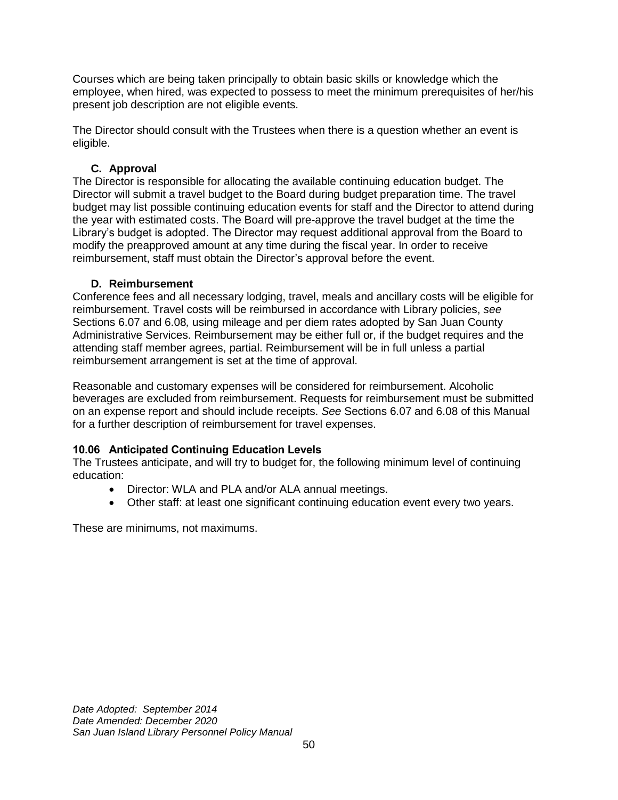Courses which are being taken principally to obtain basic skills or knowledge which the employee, when hired, was expected to possess to meet the minimum prerequisites of her/his present job description are not eligible events.

The Director should consult with the Trustees when there is a question whether an event is eligible.

# **C. Approval**

The Director is responsible for allocating the available continuing education budget. The Director will submit a travel budget to the Board during budget preparation time. The travel budget may list possible continuing education events for staff and the Director to attend during the year with estimated costs. The Board will pre-approve the travel budget at the time the Library's budget is adopted. The Director may request additional approval from the Board to modify the preapproved amount at any time during the fiscal year. In order to receive reimbursement, staff must obtain the Director's approval before the event.

# **D. Reimbursement**

Conference fees and all necessary lodging, travel, meals and ancillary costs will be eligible for reimbursement. Travel costs will be reimbursed in accordance with Library policies, *see*  Sections 6.07 and 6.08*,* using mileage and per diem rates adopted by San Juan County Administrative Services. Reimbursement may be either full or, if the budget requires and the attending staff member agrees, partial. Reimbursement will be in full unless a partial reimbursement arrangement is set at the time of approval.

Reasonable and customary expenses will be considered for reimbursement. Alcoholic beverages are excluded from reimbursement. Requests for reimbursement must be submitted on an expense report and should include receipts. *See* Sections 6.07 and 6.08 of this Manual for a further description of reimbursement for travel expenses.

# <span id="page-53-0"></span>**10.06 Anticipated Continuing Education Levels**

The Trustees anticipate, and will try to budget for, the following minimum level of continuing education:

- Director: WLA and PLA and/or ALA annual meetings.
- Other staff: at least one significant continuing education event every two years.

These are minimums, not maximums.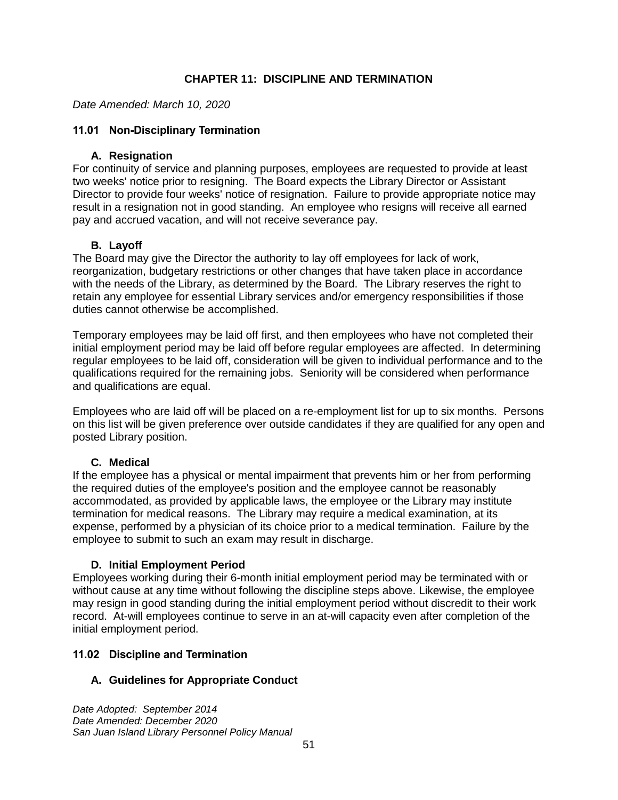# **CHAPTER 11: DISCIPLINE AND TERMINATION**

<span id="page-54-0"></span>*Date Amended: March 10, 2020*

### <span id="page-54-1"></span>**11.01 Non-Disciplinary Termination**

#### **A. Resignation**

For continuity of service and planning purposes, employees are requested to provide at least two weeks' notice prior to resigning. The Board expects the Library Director or Assistant Director to provide four weeks' notice of resignation. Failure to provide appropriate notice may result in a resignation not in good standing. An employee who resigns will receive all earned pay and accrued vacation, and will not receive severance pay.

# **B. Layoff**

The Board may give the Director the authority to lay off employees for lack of work, reorganization, budgetary restrictions or other changes that have taken place in accordance with the needs of the Library, as determined by the Board. The Library reserves the right to retain any employee for essential Library services and/or emergency responsibilities if those duties cannot otherwise be accomplished.

Temporary employees may be laid off first, and then employees who have not completed their initial employment period may be laid off before regular employees are affected. In determining regular employees to be laid off, consideration will be given to individual performance and to the qualifications required for the remaining jobs. Seniority will be considered when performance and qualifications are equal.

Employees who are laid off will be placed on a re-employment list for up to six months. Persons on this list will be given preference over outside candidates if they are qualified for any open and posted Library position.

# **C. Medical**

If the employee has a physical or mental impairment that prevents him or her from performing the required duties of the employee's position and the employee cannot be reasonably accommodated, as provided by applicable laws, the employee or the Library may institute termination for medical reasons. The Library may require a medical examination, at its expense, performed by a physician of its choice prior to a medical termination. Failure by the employee to submit to such an exam may result in discharge.

#### **D. Initial Employment Period**

Employees working during their 6-month initial employment period may be terminated with or without cause at any time without following the discipline steps above. Likewise, the employee may resign in good standing during the initial employment period without discredit to their work record. At-will employees continue to serve in an at-will capacity even after completion of the initial employment period.

# <span id="page-54-2"></span>**11.02 Discipline and Termination**

# **A. Guidelines for Appropriate Conduct**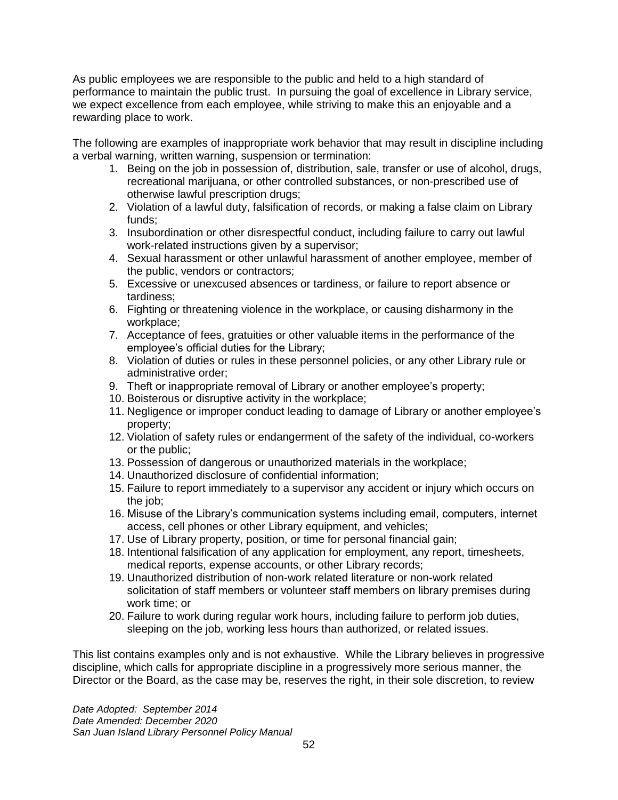As public employees we are responsible to the public and held to a high standard of performance to maintain the public trust.In pursuing the goal of excellence in Library service, we expect excellence from each employee, while striving to make this an enjoyable and a rewarding place to work.

The following are examples of inappropriate work behavior that may result in discipline including a verbal warning, written warning, suspension or termination:

- 1. Being on the job in possession of, distribution, sale, transfer or use of alcohol, drugs, recreational marijuana, or other controlled substances, or non-prescribed use of otherwise lawful prescription drugs;
- 2. Violation of a lawful duty, falsification of records, or making a false claim on Library funds;
- 3. Insubordination or other disrespectful conduct, including failure to carry out lawful work-related instructions given by a supervisor;
- 4. Sexual harassment or other unlawful harassment of another employee, member of the public, vendors or contractors;
- 5. Excessive or unexcused absences or tardiness, or failure to report absence or tardiness;
- 6. Fighting or threatening violence in the workplace, or causing disharmony in the workplace;
- 7. Acceptance of fees, gratuities or other valuable items in the performance of the employee's official duties for the Library;
- 8. Violation of duties or rules in these personnel policies, or any other Library rule or administrative order;
- 9. Theft or inappropriate removal of Library or another employee's property;
- 10. Boisterous or disruptive activity in the workplace;
- 11. Negligence or improper conduct leading to damage of Library or another employee's property;
- 12. Violation of safety rules or endangerment of the safety of the individual, co-workers or the public;
- 13. Possession of dangerous or unauthorized materials in the workplace;
- 14. Unauthorized disclosure of confidential information;
- 15. Failure to report immediately to a supervisor any accident or injury which occurs on the job;
- 16. Misuse of the Library's communication systems including email, computers, internet access, cell phones or other Library equipment, and vehicles;
- 17. Use of Library property, position, or time for personal financial gain;
- 18. Intentional falsification of any application for employment, any report, timesheets, medical reports, expense accounts, or other Library records;
- 19. Unauthorized distribution of non-work related literature or non-work related solicitation of staff members or volunteer staff members on library premises during work time; or
- 20. Failure to work during regular work hours, including failure to perform job duties, sleeping on the job, working less hours than authorized, or related issues.

This list contains examples only and is not exhaustive. While the Library believes in progressive discipline, which calls for appropriate discipline in a progressively more serious manner, the Director or the Board, as the case may be, reserves the right, in their sole discretion, to review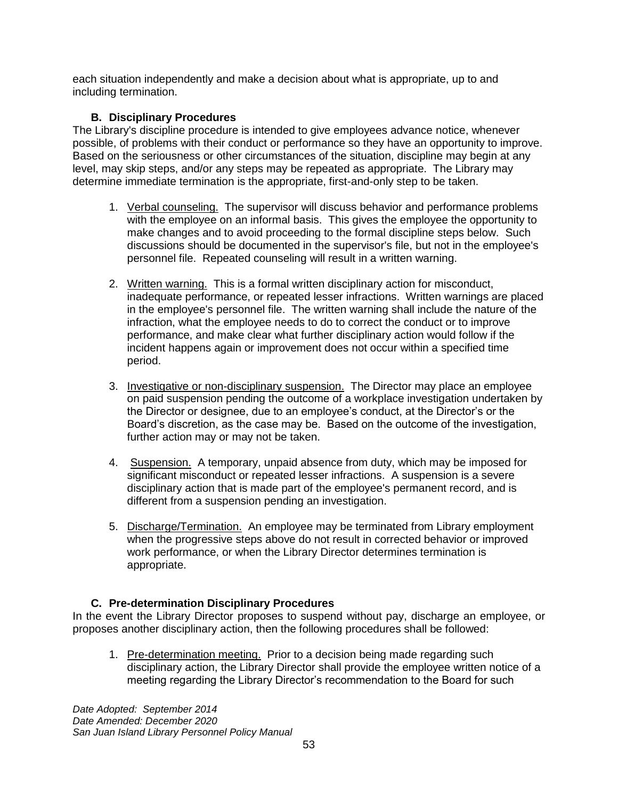each situation independently and make a decision about what is appropriate, up to and including termination.

# **B. Disciplinary Procedures**

The Library's discipline procedure is intended to give employees advance notice, whenever possible, of problems with their conduct or performance so they have an opportunity to improve. Based on the seriousness or other circumstances of the situation, discipline may begin at any level, may skip steps, and/or any steps may be repeated as appropriate. The Library may determine immediate termination is the appropriate, first-and-only step to be taken.

- 1. Verbal counseling.The supervisor will discuss behavior and performance problems with the employee on an informal basis. This gives the employee the opportunity to make changes and to avoid proceeding to the formal discipline steps below. Such discussions should be documented in the supervisor's file, but not in the employee's personnel file. Repeated counseling will result in a written warning.
- 2. Written warning.This is a formal written disciplinary action for misconduct, inadequate performance, or repeated lesser infractions. Written warnings are placed in the employee's personnel file. The written warning shall include the nature of the infraction, what the employee needs to do to correct the conduct or to improve performance, and make clear what further disciplinary action would follow if the incident happens again or improvement does not occur within a specified time period.
- 3. Investigative or non-disciplinary suspension.The Director may place an employee on paid suspension pending the outcome of a workplace investigation undertaken by the Director or designee, due to an employee's conduct, at the Director's or the Board's discretion, as the case may be. Based on the outcome of the investigation, further action may or may not be taken.
- 4. Suspension.A temporary, unpaid absence from duty, which may be imposed for significant misconduct or repeated lesser infractions. A suspension is a severe disciplinary action that is made part of the employee's permanent record, and is different from a suspension pending an investigation.
- 5. Discharge/Termination.An employee may be terminated from Library employment when the progressive steps above do not result in corrected behavior or improved work performance, or when the Library Director determines termination is appropriate.

# **C. Pre-determination Disciplinary Procedures**

In the event the Library Director proposes to suspend without pay, discharge an employee, or proposes another disciplinary action, then the following procedures shall be followed:

1. Pre-determination meeting. Prior to a decision being made regarding such disciplinary action, the Library Director shall provide the employee written notice of a meeting regarding the Library Director's recommendation to the Board for such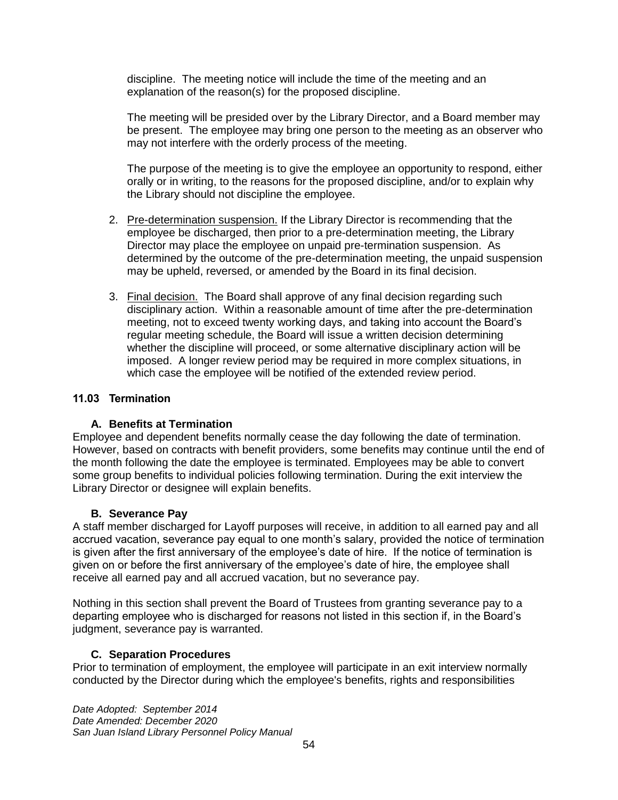discipline. The meeting notice will include the time of the meeting and an explanation of the reason(s) for the proposed discipline.

The meeting will be presided over by the Library Director, and a Board member may be present. The employee may bring one person to the meeting as an observer who may not interfere with the orderly process of the meeting.

The purpose of the meeting is to give the employee an opportunity to respond, either orally or in writing, to the reasons for the proposed discipline, and/or to explain why the Library should not discipline the employee.

- 2. Pre-determination suspension. If the Library Director is recommending that the employee be discharged, then prior to a pre-determination meeting, the Library Director may place the employee on unpaid pre-termination suspension. As determined by the outcome of the pre-determination meeting, the unpaid suspension may be upheld, reversed, or amended by the Board in its final decision.
- 3. Final decision. The Board shall approve of any final decision regarding such disciplinary action. Within a reasonable amount of time after the pre-determination meeting, not to exceed twenty working days, and taking into account the Board's regular meeting schedule, the Board will issue a written decision determining whether the discipline will proceed, or some alternative disciplinary action will be imposed. A longer review period may be required in more complex situations, in which case the employee will be notified of the extended review period.

### <span id="page-57-0"></span>**11.03 Termination**

# **A. Benefits at Termination**

Employee and dependent benefits normally cease the day following the date of termination. However, based on contracts with benefit providers, some benefits may continue until the end of the month following the date the employee is terminated. Employees may be able to convert some group benefits to individual policies following termination. During the exit interview the Library Director or designee will explain benefits.

# **B. Severance Pay**

A staff member discharged for Layoff purposes will receive, in addition to all earned pay and all accrued vacation, severance pay equal to one month's salary, provided the notice of termination is given after the first anniversary of the employee's date of hire. If the notice of termination is given on or before the first anniversary of the employee's date of hire, the employee shall receive all earned pay and all accrued vacation, but no severance pay.

Nothing in this section shall prevent the Board of Trustees from granting severance pay to a departing employee who is discharged for reasons not listed in this section if, in the Board's judgment, severance pay is warranted.

# **C. Separation Procedures**

Prior to termination of employment, the employee will participate in an exit interview normally conducted by the Director during which the employee's benefits, rights and responsibilities